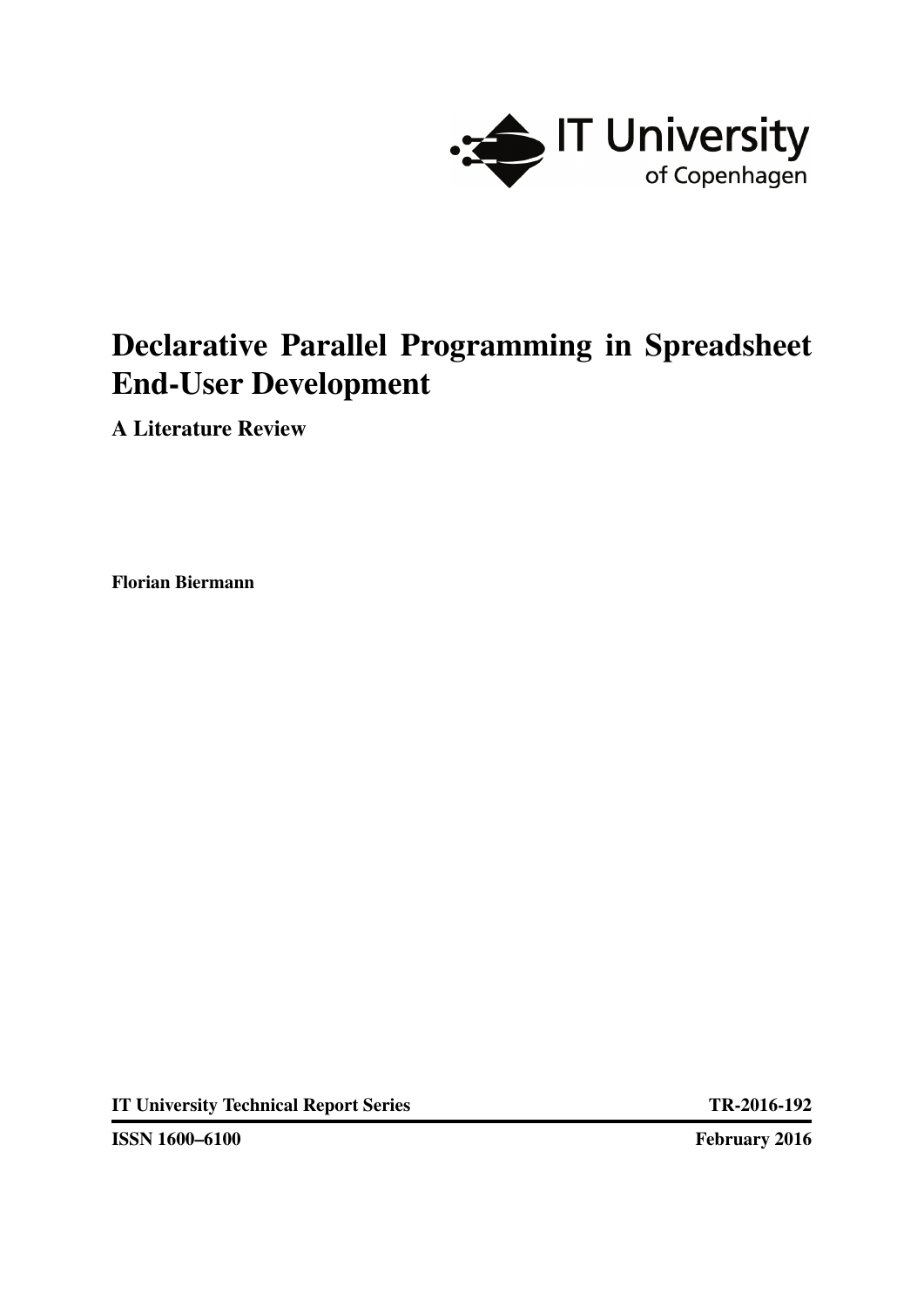

# Declarative Parallel Programming in Spreadsheet End-User Development

A Literature Review

Florian Biermann

IT University Technical Report Series TR-2016-192

ISSN 1600–6100 February 2016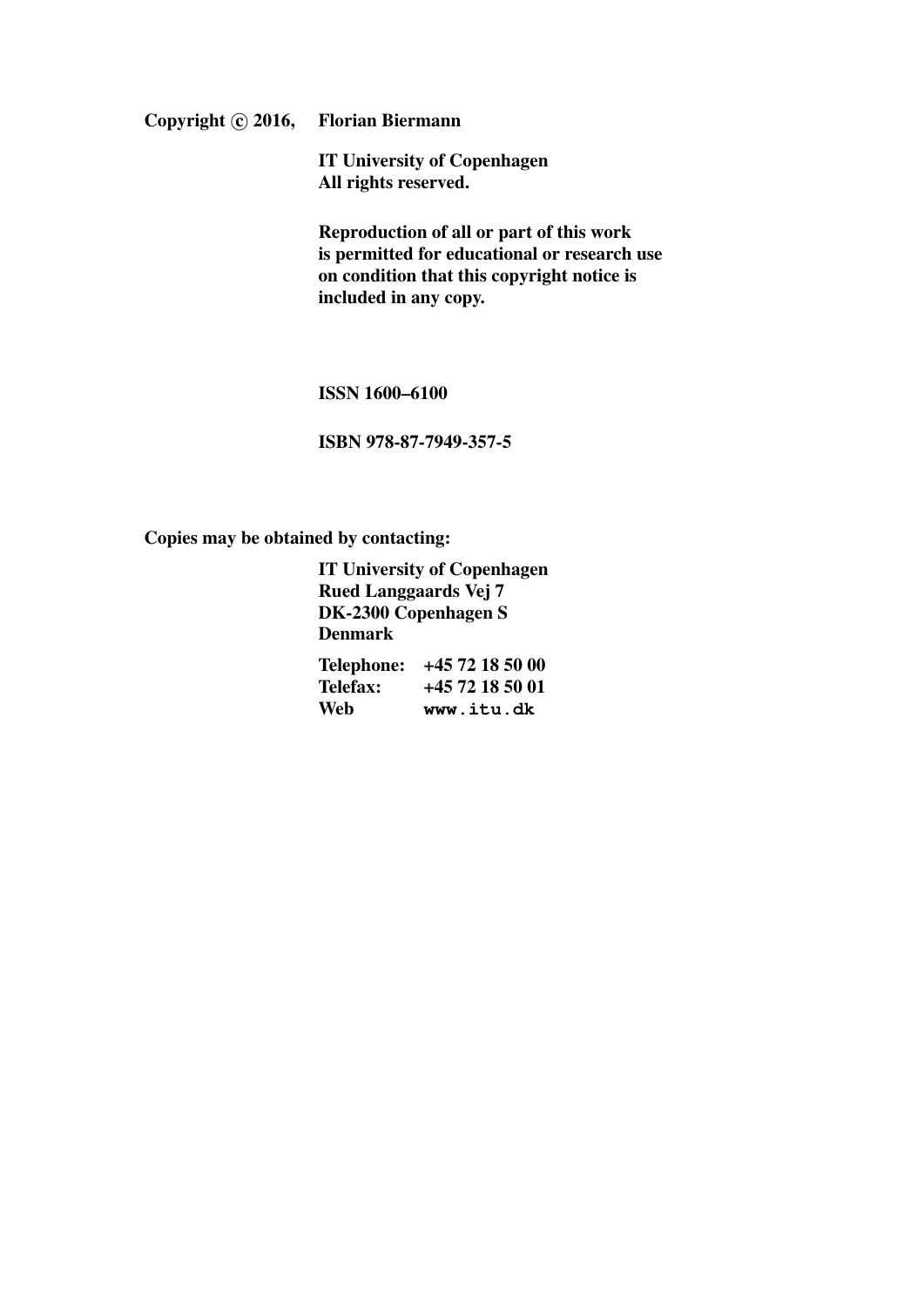Copyright © 2016, Florian Biermann

IT University of Copenhagen All rights reserved.

Reproduction of all or part of this work is permitted for educational or research use on condition that this copyright notice is included in any copy.

ISSN 1600–6100

ISBN 978-87-7949-357-5

Copies may be obtained by contacting:

IT University of Copenhagen Rued Langgaards Vej 7 DK-2300 Copenhagen S Denmark

| Telephone: | +45 72 18 50 00 |
|------------|-----------------|
| Telefax:   | +45 72 18 50 01 |
| Web        | www.itu.dk      |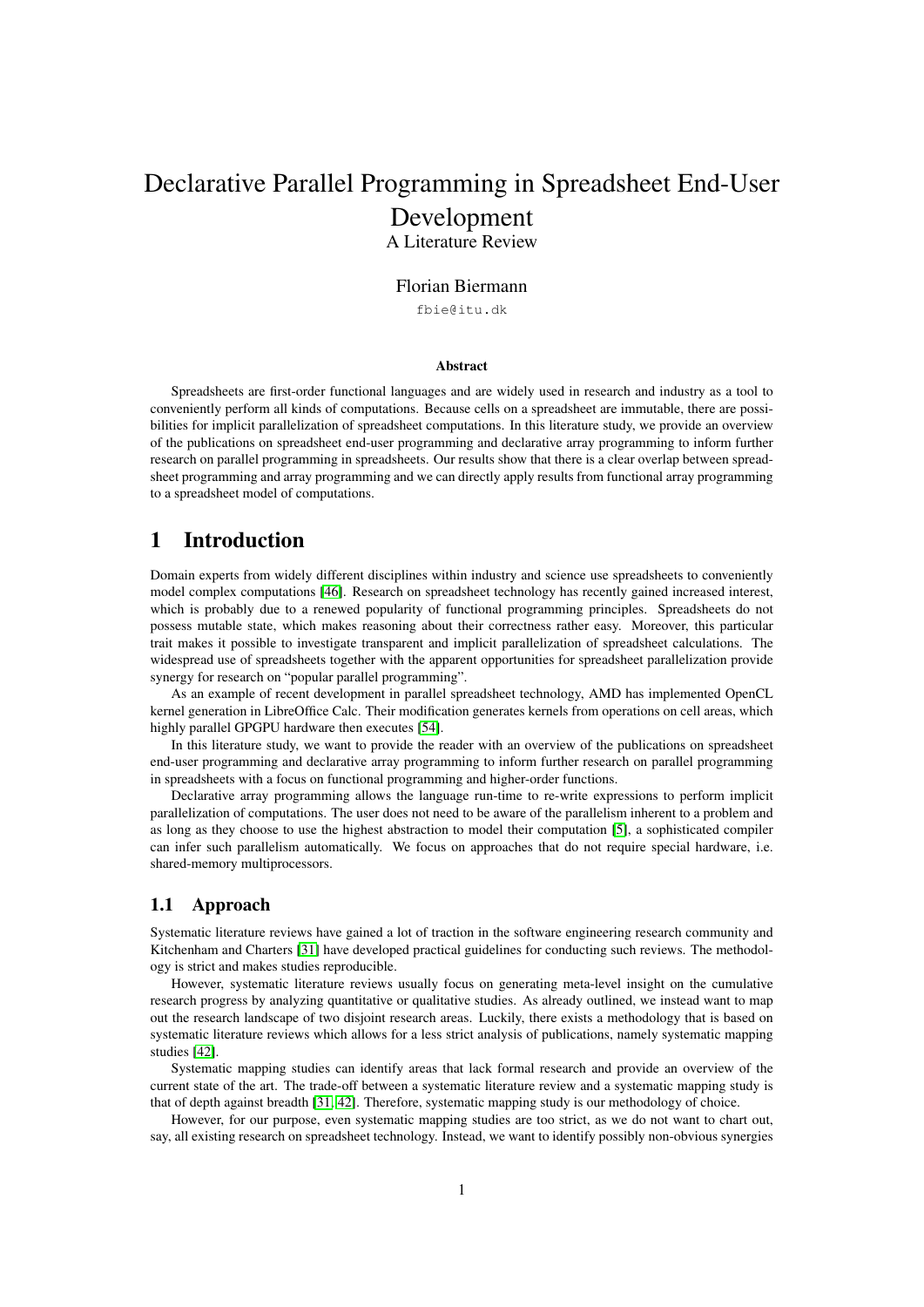# Declarative Parallel Programming in Spreadsheet End-User Development A Literature Review

#### Florian Biermann

fbie@itu.dk

#### Abstract

Spreadsheets are first-order functional languages and are widely used in research and industry as a tool to conveniently perform all kinds of computations. Because cells on a spreadsheet are immutable, there are possibilities for implicit parallelization of spreadsheet computations. In this literature study, we provide an overview of the publications on spreadsheet end-user programming and declarative array programming to inform further research on parallel programming in spreadsheets. Our results show that there is a clear overlap between spreadsheet programming and array programming and we can directly apply results from functional array programming to a spreadsheet model of computations.

# <span id="page-2-0"></span>1 Introduction

Domain experts from widely different disciplines within industry and science use spreadsheets to conveniently model complex computations [\[46\]](#page-13-0). Research on spreadsheet technology has recently gained increased interest, which is probably due to a renewed popularity of functional programming principles. Spreadsheets do not possess mutable state, which makes reasoning about their correctness rather easy. Moreover, this particular trait makes it possible to investigate transparent and implicit parallelization of spreadsheet calculations. The widespread use of spreadsheets together with the apparent opportunities for spreadsheet parallelization provide synergy for research on "popular parallel programming".

As an example of recent development in parallel spreadsheet technology, AMD has implemented OpenCL kernel generation in LibreOffice Calc. Their modification generates kernels from operations on cell areas, which highly parallel GPGPU hardware then executes [\[54\]](#page-13-1).

In this literature study, we want to provide the reader with an overview of the publications on spreadsheet end-user programming and declarative array programming to inform further research on parallel programming in spreadsheets with a focus on functional programming and higher-order functions.

Declarative array programming allows the language run-time to re-write expressions to perform implicit parallelization of computations. The user does not need to be aware of the parallelism inherent to a problem and as long as they choose to use the highest abstraction to model their computation [\[5\]](#page-10-0), a sophisticated compiler can infer such parallelism automatically. We focus on approaches that do not require special hardware, i.e. shared-memory multiprocessors.

# <span id="page-2-1"></span>1.1 Approach

Systematic literature reviews have gained a lot of traction in the software engineering research community and Kitchenham and Charters [\[31\]](#page-12-0) have developed practical guidelines for conducting such reviews. The methodology is strict and makes studies reproducible.

However, systematic literature reviews usually focus on generating meta-level insight on the cumulative research progress by analyzing quantitative or qualitative studies. As already outlined, we instead want to map out the research landscape of two disjoint research areas. Luckily, there exists a methodology that is based on systematic literature reviews which allows for a less strict analysis of publications, namely systematic mapping studies [\[42\]](#page-13-2).

Systematic mapping studies can identify areas that lack formal research and provide an overview of the current state of the art. The trade-off between a systematic literature review and a systematic mapping study is that of depth against breadth [\[31,](#page-12-0) [42\]](#page-13-2). Therefore, systematic mapping study is our methodology of choice.

However, for our purpose, even systematic mapping studies are too strict, as we do not want to chart out, say, all existing research on spreadsheet technology. Instead, we want to identify possibly non-obvious synergies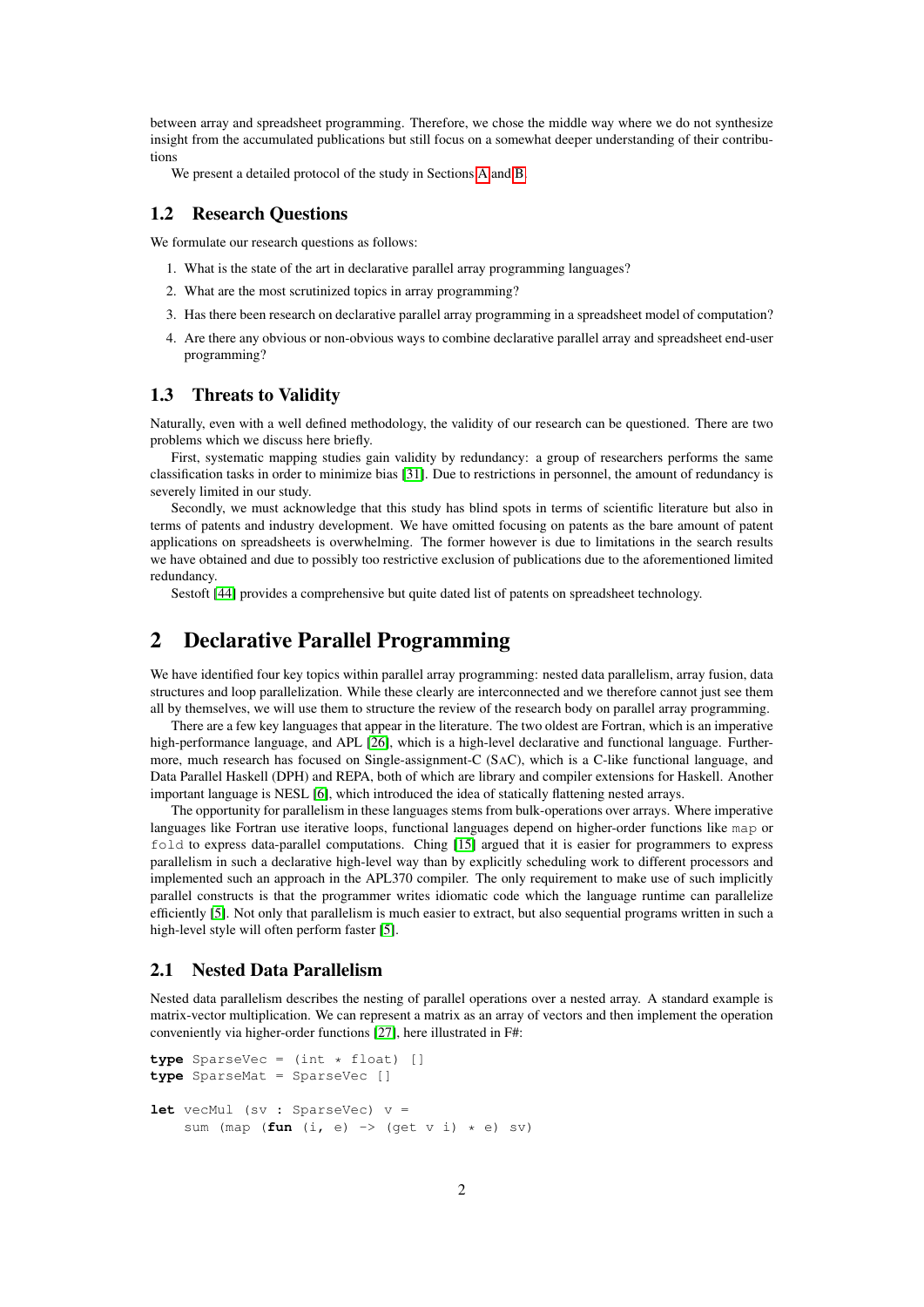between array and spreadsheet programming. Therefore, we chose the middle way where we do not synthesize insight from the accumulated publications but still focus on a somewhat deeper understanding of their contributions

We present a detailed protocol of the study in Sections [A](#page-15-0) and [B.](#page-16-0)

# <span id="page-3-0"></span>1.2 Research Questions

We formulate our research questions as follows:

- 1. What is the state of the art in declarative parallel array programming languages?
- 2. What are the most scrutinized topics in array programming?
- 3. Has there been research on declarative parallel array programming in a spreadsheet model of computation?
- 4. Are there any obvious or non-obvious ways to combine declarative parallel array and spreadsheet end-user programming?

### 1.3 Threats to Validity

Naturally, even with a well defined methodology, the validity of our research can be questioned. There are two problems which we discuss here briefly.

First, systematic mapping studies gain validity by redundancy: a group of researchers performs the same classification tasks in order to minimize bias [\[31\]](#page-12-0). Due to restrictions in personnel, the amount of redundancy is severely limited in our study.

Secondly, we must acknowledge that this study has blind spots in terms of scientific literature but also in terms of patents and industry development. We have omitted focusing on patents as the bare amount of patent applications on spreadsheets is overwhelming. The former however is due to limitations in the search results we have obtained and due to possibly too restrictive exclusion of publications due to the aforementioned limited redundancy.

Sestoft [\[44\]](#page-13-3) provides a comprehensive but quite dated list of patents on spreadsheet technology.

# 2 Declarative Parallel Programming

We have identified four key topics within parallel array programming: nested data parallelism, array fusion, data structures and loop parallelization. While these clearly are interconnected and we therefore cannot just see them all by themselves, we will use them to structure the review of the research body on parallel array programming.

There are a few key languages that appear in the literature. The two oldest are Fortran, which is an imperative high-performance language, and APL [\[26\]](#page-11-0), which is a high-level declarative and functional language. Furthermore, much research has focused on Single-assignment-C (SAC), which is a C-like functional language, and Data Parallel Haskell (DPH) and REPA, both of which are library and compiler extensions for Haskell. Another important language is NESL [\[6\]](#page-10-1), which introduced the idea of statically flattening nested arrays.

The opportunity for parallelism in these languages stems from bulk-operations over arrays. Where imperative languages like Fortran use iterative loops, functional languages depend on higher-order functions like map or fold to express data-parallel computations. Ching [\[15\]](#page-11-1) argued that it is easier for programmers to express parallelism in such a declarative high-level way than by explicitly scheduling work to different processors and implemented such an approach in the APL370 compiler. The only requirement to make use of such implicitly parallel constructs is that the programmer writes idiomatic code which the language runtime can parallelize efficiently [\[5\]](#page-10-0). Not only that parallelism is much easier to extract, but also sequential programs written in such a high-level style will often perform faster [\[5\]](#page-10-0).

#### 2.1 Nested Data Parallelism

Nested data parallelism describes the nesting of parallel operations over a nested array. A standard example is matrix-vector multiplication. We can represent a matrix as an array of vectors and then implement the operation conveniently via higher-order functions [\[27\]](#page-11-2), here illustrated in F#:

```
type SparseVec = (int * float) []
type SparseMat = SparseVec []
let vecMul (sv : SparseVec) v =
    sum (map (fun (i, e) \rightarrow (get v i) * e) sv)
```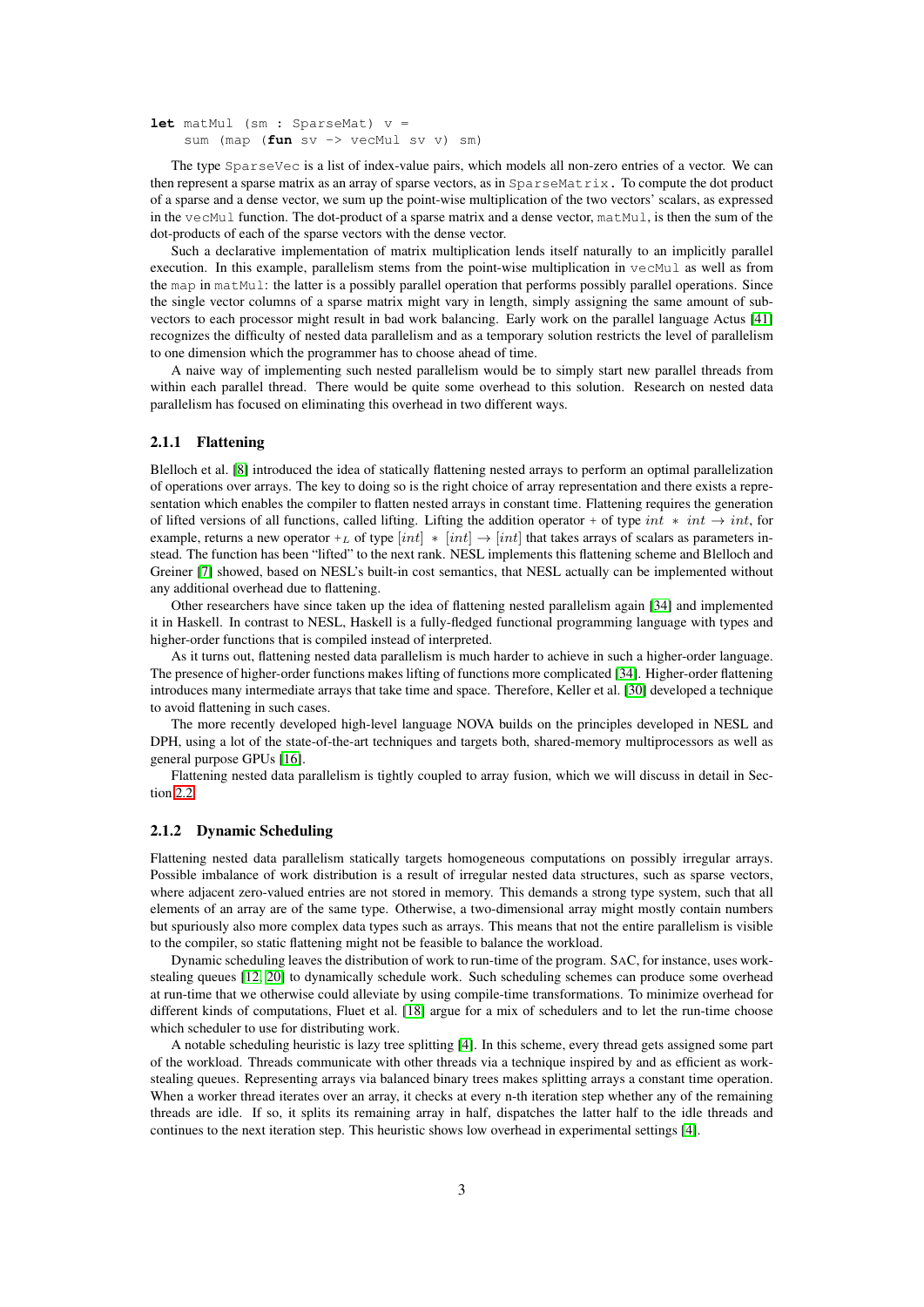```
let matMul (sm : SparseMat) v =
    sum (map (fun sv -> vecMul sv v) sm)
```
The type SparseVec is a list of index-value pairs, which models all non-zero entries of a vector. We can then represent a sparse matrix as an array of sparse vectors, as in SparseMatrix. To compute the dot product of a sparse and a dense vector, we sum up the point-wise multiplication of the two vectors' scalars, as expressed in the vecMul function. The dot-product of a sparse matrix and a dense vector, matMul, is then the sum of the dot-products of each of the sparse vectors with the dense vector.

Such a declarative implementation of matrix multiplication lends itself naturally to an implicitly parallel execution. In this example, parallelism stems from the point-wise multiplication in  $vecMul$  as well as from the map in matMul: the latter is a possibly parallel operation that performs possibly parallel operations. Since the single vector columns of a sparse matrix might vary in length, simply assigning the same amount of subvectors to each processor might result in bad work balancing. Early work on the parallel language Actus [\[41\]](#page-13-4) recognizes the difficulty of nested data parallelism and as a temporary solution restricts the level of parallelism to one dimension which the programmer has to choose ahead of time.

A naive way of implementing such nested parallelism would be to simply start new parallel threads from within each parallel thread. There would be quite some overhead to this solution. Research on nested data parallelism has focused on eliminating this overhead in two different ways.

#### 2.1.1 Flattening

Blelloch et al. [\[8\]](#page-10-2) introduced the idea of statically flattening nested arrays to perform an optimal parallelization of operations over arrays. The key to doing so is the right choice of array representation and there exists a representation which enables the compiler to flatten nested arrays in constant time. Flattening requires the generation of lifted versions of all functions, called lifting. Lifting the addition operator + of type int  $*$  int, for example, returns a new operator +L of type  $(int] * [int] \rightarrow [int]$  that takes arrays of scalars as parameters instead. The function has been "lifted" to the next rank. NESL implements this flattening scheme and Blelloch and Greiner [\[7\]](#page-10-3) showed, based on NESL's built-in cost semantics, that NESL actually can be implemented without any additional overhead due to flattening.

Other researchers have since taken up the idea of flattening nested parallelism again [\[34\]](#page-12-1) and implemented it in Haskell. In contrast to NESL, Haskell is a fully-fledged functional programming language with types and higher-order functions that is compiled instead of interpreted.

As it turns out, flattening nested data parallelism is much harder to achieve in such a higher-order language. The presence of higher-order functions makes lifting of functions more complicated [\[34\]](#page-12-1). Higher-order flattening introduces many intermediate arrays that take time and space. Therefore, Keller et al. [\[30\]](#page-12-2) developed a technique to avoid flattening in such cases.

The more recently developed high-level language NOVA builds on the principles developed in NESL and DPH, using a lot of the state-of-the-art techniques and targets both, shared-memory multiprocessors as well as general purpose GPUs [\[16\]](#page-11-3).

Flattening nested data parallelism is tightly coupled to array fusion, which we will discuss in detail in Section [2.2.](#page-5-0)

#### 2.1.2 Dynamic Scheduling

Flattening nested data parallelism statically targets homogeneous computations on possibly irregular arrays. Possible imbalance of work distribution is a result of irregular nested data structures, such as sparse vectors, where adjacent zero-valued entries are not stored in memory. This demands a strong type system, such that all elements of an array are of the same type. Otherwise, a two-dimensional array might mostly contain numbers but spuriously also more complex data types such as arrays. This means that not the entire parallelism is visible to the compiler, so static flattening might not be feasible to balance the workload.

Dynamic scheduling leaves the distribution of work to run-time of the program. SAC, for instance, uses workstealing queues [\[12,](#page-10-4) [20\]](#page-11-4) to dynamically schedule work. Such scheduling schemes can produce some overhead at run-time that we otherwise could alleviate by using compile-time transformations. To minimize overhead for different kinds of computations, Fluet et al. [\[18\]](#page-11-5) argue for a mix of schedulers and to let the run-time choose which scheduler to use for distributing work.

A notable scheduling heuristic is lazy tree splitting [\[4\]](#page-10-5). In this scheme, every thread gets assigned some part of the workload. Threads communicate with other threads via a technique inspired by and as efficient as workstealing queues. Representing arrays via balanced binary trees makes splitting arrays a constant time operation. When a worker thread iterates over an array, it checks at every n-th iteration step whether any of the remaining threads are idle. If so, it splits its remaining array in half, dispatches the latter half to the idle threads and continues to the next iteration step. This heuristic shows low overhead in experimental settings [\[4\]](#page-10-5).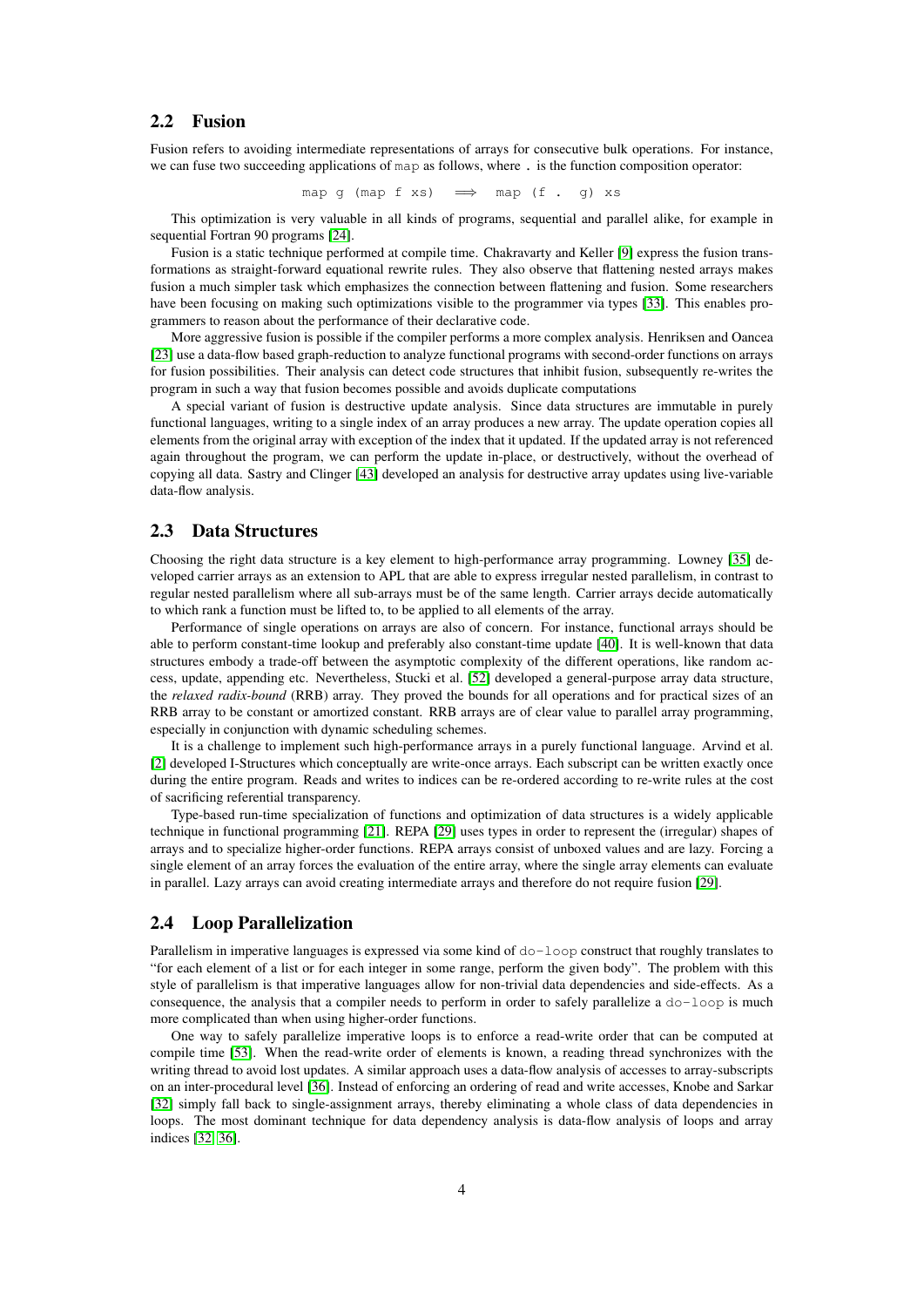# <span id="page-5-0"></span>2.2 Fusion

Fusion refers to avoiding intermediate representations of arrays for consecutive bulk operations. For instance, we can fuse two succeeding applications of map as follows, where . is the function composition operator:

map g (map f xs)  $\implies$  map (f . g) xs

This optimization is very valuable in all kinds of programs, sequential and parallel alike, for example in sequential Fortran 90 programs [\[24\]](#page-11-6).

Fusion is a static technique performed at compile time. Chakravarty and Keller [\[9\]](#page-10-6) express the fusion transformations as straight-forward equational rewrite rules. They also observe that flattening nested arrays makes fusion a much simpler task which emphasizes the connection between flattening and fusion. Some researchers have been focusing on making such optimizations visible to the programmer via types [\[33\]](#page-12-3). This enables programmers to reason about the performance of their declarative code.

More aggressive fusion is possible if the compiler performs a more complex analysis. Henriksen and Oancea [\[23\]](#page-11-7) use a data-flow based graph-reduction to analyze functional programs with second-order functions on arrays for fusion possibilities. Their analysis can detect code structures that inhibit fusion, subsequently re-writes the program in such a way that fusion becomes possible and avoids duplicate computations

A special variant of fusion is destructive update analysis. Since data structures are immutable in purely functional languages, writing to a single index of an array produces a new array. The update operation copies all elements from the original array with exception of the index that it updated. If the updated array is not referenced again throughout the program, we can perform the update in-place, or destructively, without the overhead of copying all data. Sastry and Clinger [\[43\]](#page-13-5) developed an analysis for destructive array updates using live-variable data-flow analysis.

### 2.3 Data Structures

Choosing the right data structure is a key element to high-performance array programming. Lowney [\[35\]](#page-12-4) developed carrier arrays as an extension to APL that are able to express irregular nested parallelism, in contrast to regular nested parallelism where all sub-arrays must be of the same length. Carrier arrays decide automatically to which rank a function must be lifted to, to be applied to all elements of the array.

Performance of single operations on arrays are also of concern. For instance, functional arrays should be able to perform constant-time lookup and preferably also constant-time update [\[40\]](#page-12-5). It is well-known that data structures embody a trade-off between the asymptotic complexity of the different operations, like random access, update, appending etc. Nevertheless, Stucki et al. [\[52\]](#page-13-6) developed a general-purpose array data structure, the *relaxed radix-bound* (RRB) array. They proved the bounds for all operations and for practical sizes of an RRB array to be constant or amortized constant. RRB arrays are of clear value to parallel array programming, especially in conjunction with dynamic scheduling schemes.

It is a challenge to implement such high-performance arrays in a purely functional language. Arvind et al. [\[2\]](#page-10-7) developed I-Structures which conceptually are write-once arrays. Each subscript can be written exactly once during the entire program. Reads and writes to indices can be re-ordered according to re-write rules at the cost of sacrificing referential transparency.

Type-based run-time specialization of functions and optimization of data structures is a widely applicable technique in functional programming [\[21\]](#page-11-8). REPA [\[29\]](#page-12-6) uses types in order to represent the (irregular) shapes of arrays and to specialize higher-order functions. REPA arrays consist of unboxed values and are lazy. Forcing a single element of an array forces the evaluation of the entire array, where the single array elements can evaluate in parallel. Lazy arrays can avoid creating intermediate arrays and therefore do not require fusion [\[29\]](#page-12-6).

### 2.4 Loop Parallelization

Parallelism in imperative languages is expressed via some kind of do-loop construct that roughly translates to "for each element of a list or for each integer in some range, perform the given body". The problem with this style of parallelism is that imperative languages allow for non-trivial data dependencies and side-effects. As a consequence, the analysis that a compiler needs to perform in order to safely parallelize a  $d_0$ -loop is much more complicated than when using higher-order functions.

One way to safely parallelize imperative loops is to enforce a read-write order that can be computed at compile time [\[53\]](#page-13-7). When the read-write order of elements is known, a reading thread synchronizes with the writing thread to avoid lost updates. A similar approach uses a data-flow analysis of accesses to array-subscripts on an inter-procedural level [\[36\]](#page-12-7). Instead of enforcing an ordering of read and write accesses, Knobe and Sarkar [\[32\]](#page-12-8) simply fall back to single-assignment arrays, thereby eliminating a whole class of data dependencies in loops. The most dominant technique for data dependency analysis is data-flow analysis of loops and array indices [\[32,](#page-12-8) [36\]](#page-12-7).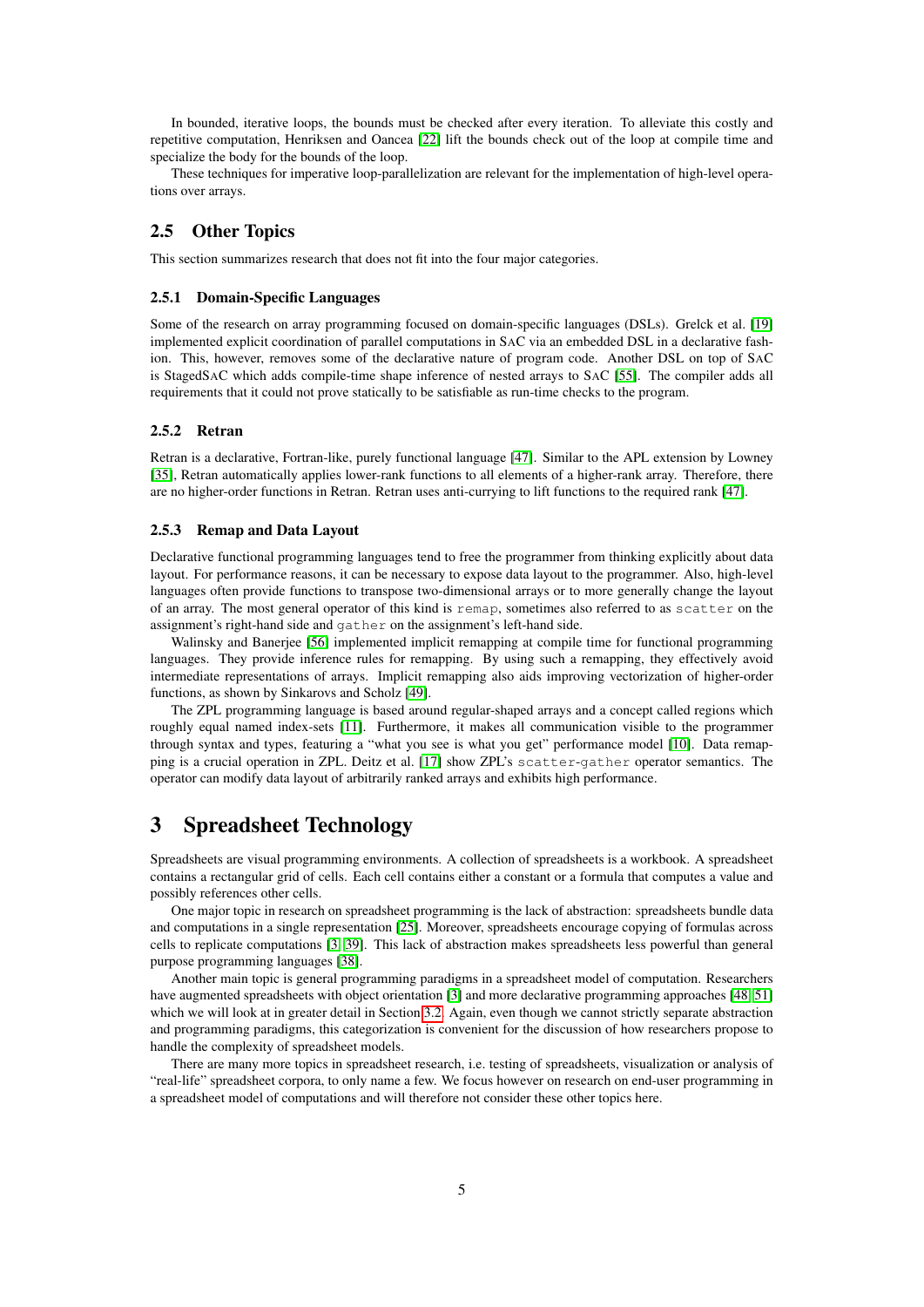In bounded, iterative loops, the bounds must be checked after every iteration. To alleviate this costly and repetitive computation, Henriksen and Oancea [\[22\]](#page-11-9) lift the bounds check out of the loop at compile time and specialize the body for the bounds of the loop.

These techniques for imperative loop-parallelization are relevant for the implementation of high-level operations over arrays.

# 2.5 Other Topics

This section summarizes research that does not fit into the four major categories.

#### 2.5.1 Domain-Specific Languages

Some of the research on array programming focused on domain-specific languages (DSLs). Grelck et al. [\[19\]](#page-11-10) implemented explicit coordination of parallel computations in SAC via an embedded DSL in a declarative fashion. This, however, removes some of the declarative nature of program code. Another DSL on top of SAC is StagedSAC which adds compile-time shape inference of nested arrays to SAC [\[55\]](#page-14-0). The compiler adds all requirements that it could not prove statically to be satisfiable as run-time checks to the program.

# 2.5.2 Retran

Retran is a declarative, Fortran-like, purely functional language [\[47\]](#page-13-8). Similar to the APL extension by Lowney [\[35\]](#page-12-4), Retran automatically applies lower-rank functions to all elements of a higher-rank array. Therefore, there are no higher-order functions in Retran. Retran uses anti-currying to lift functions to the required rank [\[47\]](#page-13-8).

#### 2.5.3 Remap and Data Layout

Declarative functional programming languages tend to free the programmer from thinking explicitly about data layout. For performance reasons, it can be necessary to expose data layout to the programmer. Also, high-level languages often provide functions to transpose two-dimensional arrays or to more generally change the layout of an array. The most general operator of this kind is remap, sometimes also referred to as scatter on the assignment's right-hand side and gather on the assignment's left-hand side.

Walinsky and Banerjee [\[56\]](#page-14-1) implemented implicit remapping at compile time for functional programming languages. They provide inference rules for remapping. By using such a remapping, they effectively avoid intermediate representations of arrays. Implicit remapping also aids improving vectorization of higher-order functions, as shown by Sinkarovs and Scholz [\[49\]](#page-13-9).

The ZPL programming language is based around regular-shaped arrays and a concept called regions which roughly equal named index-sets [\[11\]](#page-10-8). Furthermore, it makes all communication visible to the programmer through syntax and types, featuring a "what you see is what you get" performance model [\[10\]](#page-10-9). Data remapping is a crucial operation in ZPL. Deitz et al. [\[17\]](#page-11-11) show ZPL's scatter-gather operator semantics. The operator can modify data layout of arbitrarily ranked arrays and exhibits high performance.

# 3 Spreadsheet Technology

Spreadsheets are visual programming environments. A collection of spreadsheets is a workbook. A spreadsheet contains a rectangular grid of cells. Each cell contains either a constant or a formula that computes a value and possibly references other cells.

One major topic in research on spreadsheet programming is the lack of abstraction: spreadsheets bundle data and computations in a single representation [\[25\]](#page-11-12). Moreover, spreadsheets encourage copying of formulas across cells to replicate computations [\[3,](#page-10-10) [39\]](#page-12-9). This lack of abstraction makes spreadsheets less powerful than general purpose programming languages [\[38\]](#page-12-10).

Another main topic is general programming paradigms in a spreadsheet model of computation. Researchers have augmented spreadsheets with object orientation [\[3\]](#page-10-10) and more declarative programming approaches [\[48,](#page-13-10) [51\]](#page-13-11) which we will look at in greater detail in Section [3.2.](#page-7-0) Again, even though we cannot strictly separate abstraction and programming paradigms, this categorization is convenient for the discussion of how researchers propose to handle the complexity of spreadsheet models.

There are many more topics in spreadsheet research, i.e. testing of spreadsheets, visualization or analysis of "real-life" spreadsheet corpora, to only name a few. We focus however on research on end-user programming in a spreadsheet model of computations and will therefore not consider these other topics here.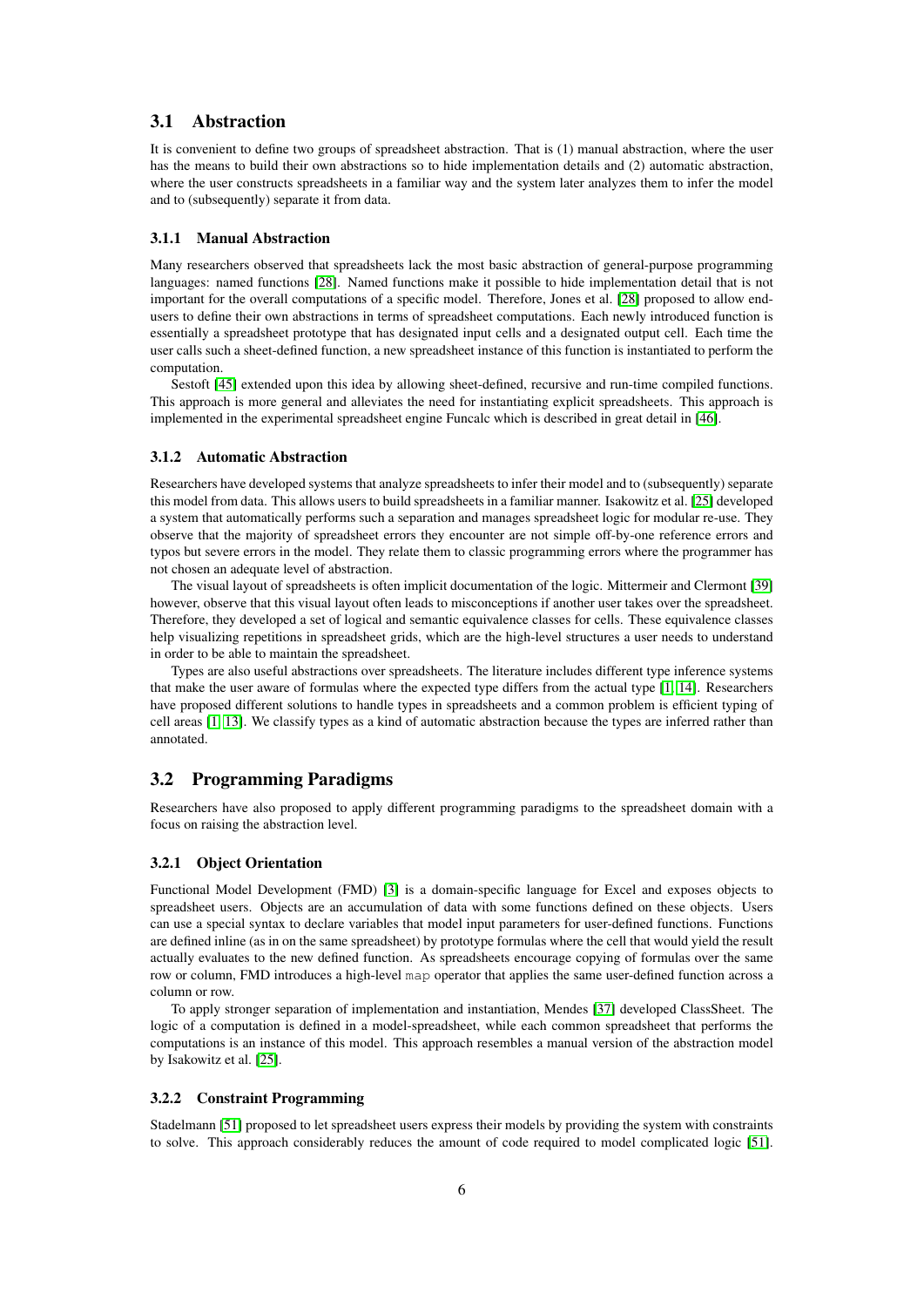### 3.1 Abstraction

It is convenient to define two groups of spreadsheet abstraction. That is (1) manual abstraction, where the user has the means to build their own abstractions so to hide implementation details and (2) automatic abstraction, where the user constructs spreadsheets in a familiar way and the system later analyzes them to infer the model and to (subsequently) separate it from data.

#### 3.1.1 Manual Abstraction

Many researchers observed that spreadsheets lack the most basic abstraction of general-purpose programming languages: named functions [\[28\]](#page-12-11). Named functions make it possible to hide implementation detail that is not important for the overall computations of a specific model. Therefore, Jones et al. [\[28\]](#page-12-11) proposed to allow endusers to define their own abstractions in terms of spreadsheet computations. Each newly introduced function is essentially a spreadsheet prototype that has designated input cells and a designated output cell. Each time the user calls such a sheet-defined function, a new spreadsheet instance of this function is instantiated to perform the computation.

Sestoft [\[45\]](#page-13-12) extended upon this idea by allowing sheet-defined, recursive and run-time compiled functions. This approach is more general and alleviates the need for instantiating explicit spreadsheets. This approach is implemented in the experimental spreadsheet engine Funcalc which is described in great detail in [\[46\]](#page-13-0).

#### 3.1.2 Automatic Abstraction

Researchers have developed systems that analyze spreadsheets to infer their model and to (subsequently) separate this model from data. This allows users to build spreadsheets in a familiar manner. Isakowitz et al. [\[25\]](#page-11-12) developed a system that automatically performs such a separation and manages spreadsheet logic for modular re-use. They observe that the majority of spreadsheet errors they encounter are not simple off-by-one reference errors and typos but severe errors in the model. They relate them to classic programming errors where the programmer has not chosen an adequate level of abstraction.

The visual layout of spreadsheets is often implicit documentation of the logic. Mittermeir and Clermont [\[39\]](#page-12-9) however, observe that this visual layout often leads to misconceptions if another user takes over the spreadsheet. Therefore, they developed a set of logical and semantic equivalence classes for cells. These equivalence classes help visualizing repetitions in spreadsheet grids, which are the high-level structures a user needs to understand in order to be able to maintain the spreadsheet.

Types are also useful abstractions over spreadsheets. The literature includes different type inference systems that make the user aware of formulas where the expected type differs from the actual type [\[1,](#page-10-11) [14\]](#page-11-13). Researchers have proposed different solutions to handle types in spreadsheets and a common problem is efficient typing of cell areas [\[1,](#page-10-11) [13\]](#page-10-12). We classify types as a kind of automatic abstraction because the types are inferred rather than annotated.

### <span id="page-7-0"></span>3.2 Programming Paradigms

Researchers have also proposed to apply different programming paradigms to the spreadsheet domain with a focus on raising the abstraction level.

#### 3.2.1 Object Orientation

Functional Model Development (FMD) [\[3\]](#page-10-10) is a domain-specific language for Excel and exposes objects to spreadsheet users. Objects are an accumulation of data with some functions defined on these objects. Users can use a special syntax to declare variables that model input parameters for user-defined functions. Functions are defined inline (as in on the same spreadsheet) by prototype formulas where the cell that would yield the result actually evaluates to the new defined function. As spreadsheets encourage copying of formulas over the same row or column, FMD introduces a high-level map operator that applies the same user-defined function across a column or row.

To apply stronger separation of implementation and instantiation, Mendes [\[37\]](#page-12-12) developed ClassSheet. The logic of a computation is defined in a model-spreadsheet, while each common spreadsheet that performs the computations is an instance of this model. This approach resembles a manual version of the abstraction model by Isakowitz et al. [\[25\]](#page-11-12).

#### 3.2.2 Constraint Programming

Stadelmann [\[51\]](#page-13-11) proposed to let spreadsheet users express their models by providing the system with constraints to solve. This approach considerably reduces the amount of code required to model complicated logic [\[51\]](#page-13-11).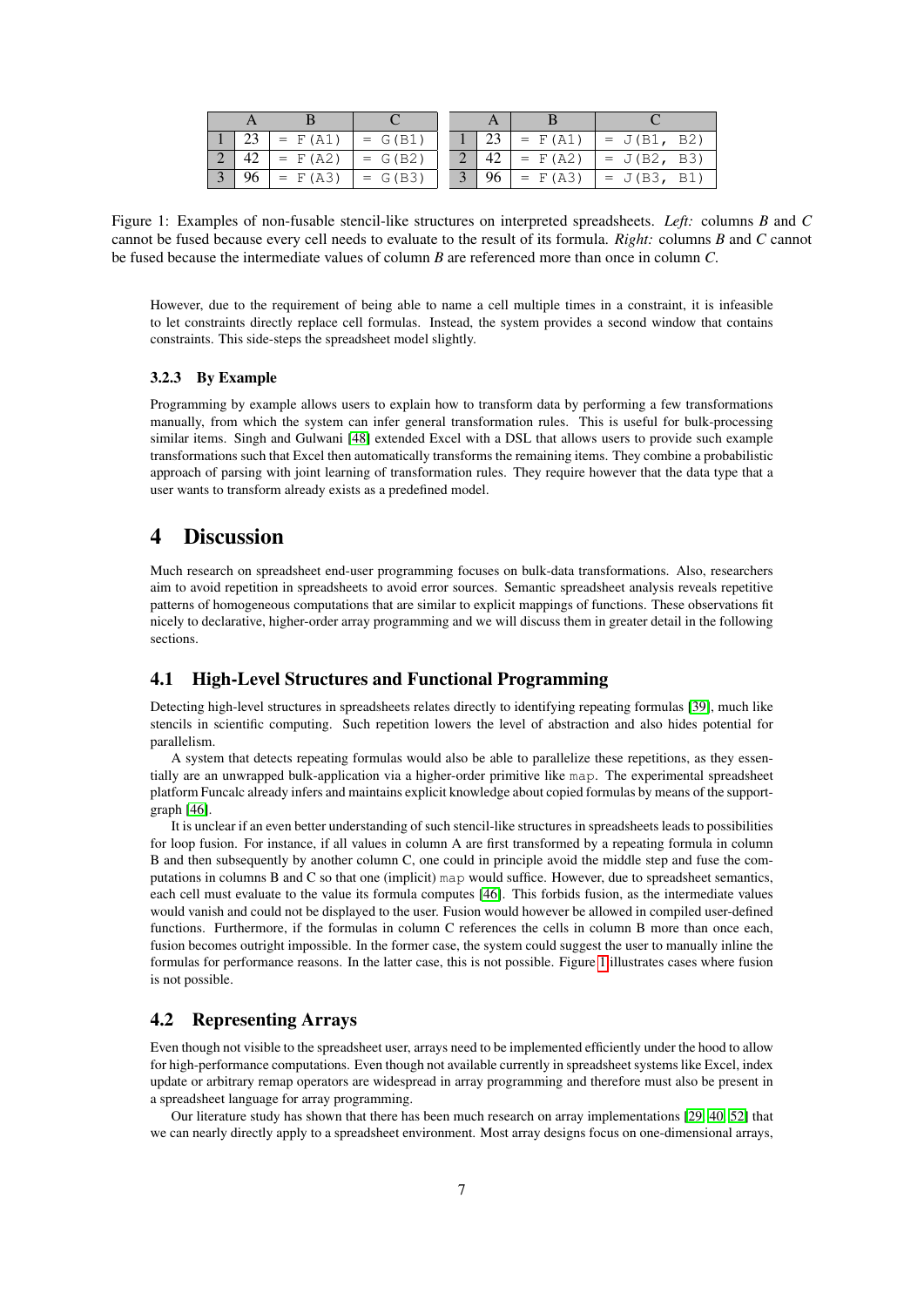|  | $=$ $F(A1)$ | $= G(B1)$ |  |    | $=$ F (A1)  | $= J(B1, B2)$ |
|--|-------------|-----------|--|----|-------------|---------------|
|  | $=$ $F(A2)$ | $= G(B2)$ |  |    | $=$ F(A2)   | $= J(B2, B3)$ |
|  | $=$ $F(A3)$ | $= G(B3)$ |  | 96 | $=$ $F(A3)$ | $= J(B3, B1)$ |

<span id="page-8-0"></span>Figure 1: Examples of non-fusable stencil-like structures on interpreted spreadsheets. *Left:* columns *B* and *C* cannot be fused because every cell needs to evaluate to the result of its formula. *Right:* columns *B* and *C* cannot be fused because the intermediate values of column *B* are referenced more than once in column *C*.

However, due to the requirement of being able to name a cell multiple times in a constraint, it is infeasible to let constraints directly replace cell formulas. Instead, the system provides a second window that contains constraints. This side-steps the spreadsheet model slightly.

#### 3.2.3 By Example

Programming by example allows users to explain how to transform data by performing a few transformations manually, from which the system can infer general transformation rules. This is useful for bulk-processing similar items. Singh and Gulwani [\[48\]](#page-13-10) extended Excel with a DSL that allows users to provide such example transformations such that Excel then automatically transforms the remaining items. They combine a probabilistic approach of parsing with joint learning of transformation rules. They require however that the data type that a user wants to transform already exists as a predefined model.

# 4 Discussion

Much research on spreadsheet end-user programming focuses on bulk-data transformations. Also, researchers aim to avoid repetition in spreadsheets to avoid error sources. Semantic spreadsheet analysis reveals repetitive patterns of homogeneous computations that are similar to explicit mappings of functions. These observations fit nicely to declarative, higher-order array programming and we will discuss them in greater detail in the following sections.

# <span id="page-8-1"></span>4.1 High-Level Structures and Functional Programming

Detecting high-level structures in spreadsheets relates directly to identifying repeating formulas [\[39\]](#page-12-9), much like stencils in scientific computing. Such repetition lowers the level of abstraction and also hides potential for parallelism.

A system that detects repeating formulas would also be able to parallelize these repetitions, as they essentially are an unwrapped bulk-application via a higher-order primitive like map. The experimental spreadsheet platform Funcalc already infers and maintains explicit knowledge about copied formulas by means of the supportgraph [\[46\]](#page-13-0).

It is unclear if an even better understanding of such stencil-like structures in spreadsheets leads to possibilities for loop fusion. For instance, if all values in column A are first transformed by a repeating formula in column B and then subsequently by another column C, one could in principle avoid the middle step and fuse the computations in columns B and C so that one (implicit) map would suffice. However, due to spreadsheet semantics, each cell must evaluate to the value its formula computes [\[46\]](#page-13-0). This forbids fusion, as the intermediate values would vanish and could not be displayed to the user. Fusion would however be allowed in compiled user-defined functions. Furthermore, if the formulas in column C references the cells in column B more than once each, fusion becomes outright impossible. In the former case, the system could suggest the user to manually inline the formulas for performance reasons. In the latter case, this is not possible. Figure [1](#page-8-0) illustrates cases where fusion is not possible.

### 4.2 Representing Arrays

Even though not visible to the spreadsheet user, arrays need to be implemented efficiently under the hood to allow for high-performance computations. Even though not available currently in spreadsheet systems like Excel, index update or arbitrary remap operators are widespread in array programming and therefore must also be present in a spreadsheet language for array programming.

Our literature study has shown that there has been much research on array implementations [\[29,](#page-12-6) [40,](#page-12-5) [52\]](#page-13-6) that we can nearly directly apply to a spreadsheet environment. Most array designs focus on one-dimensional arrays,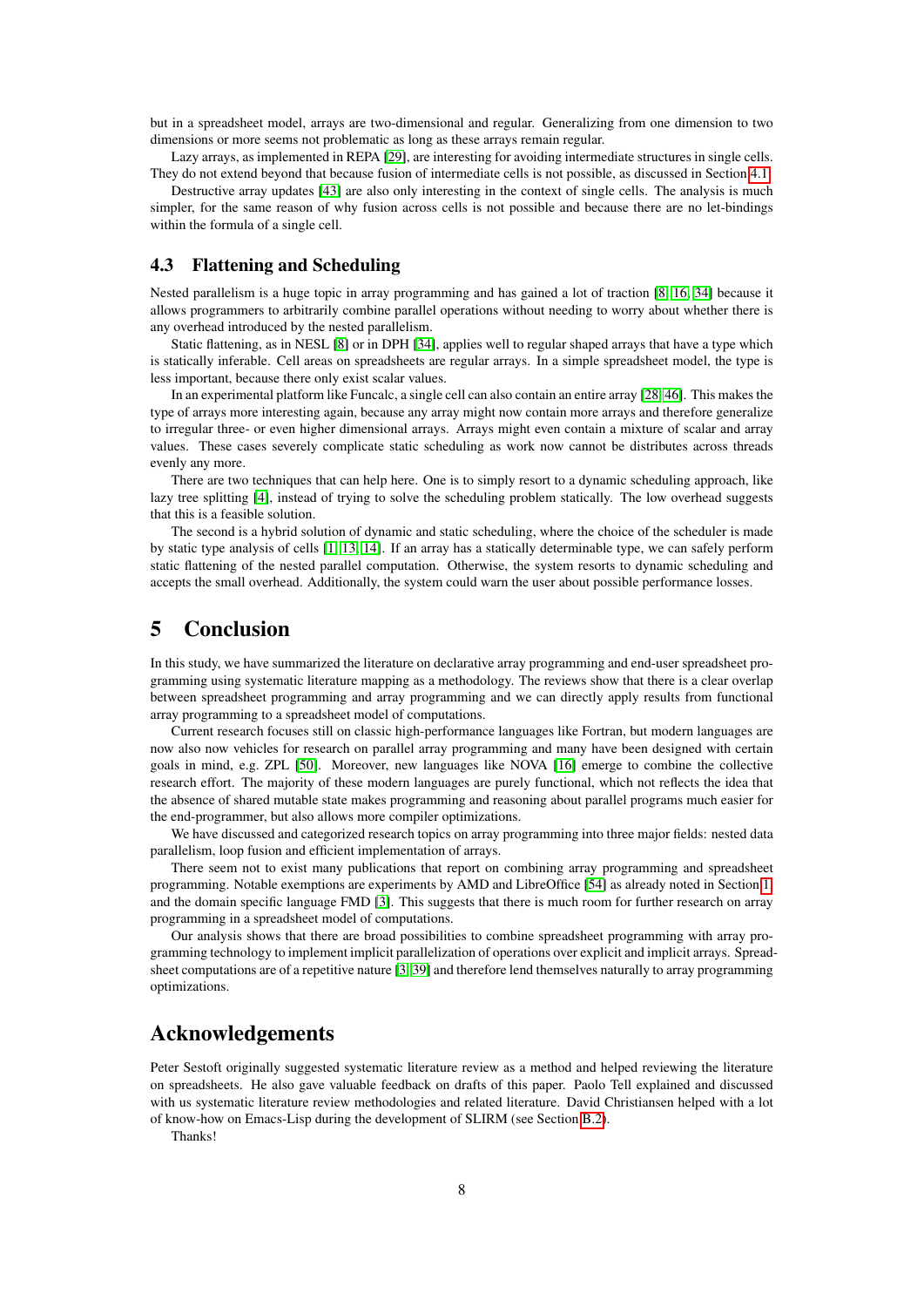but in a spreadsheet model, arrays are two-dimensional and regular. Generalizing from one dimension to two dimensions or more seems not problematic as long as these arrays remain regular.

Lazy arrays, as implemented in REPA [\[29\]](#page-12-6), are interesting for avoiding intermediate structures in single cells. They do not extend beyond that because fusion of intermediate cells is not possible, as discussed in Section [4.1.](#page-8-1)

Destructive array updates [\[43\]](#page-13-5) are also only interesting in the context of single cells. The analysis is much simpler, for the same reason of why fusion across cells is not possible and because there are no let-bindings within the formula of a single cell.

### 4.3 Flattening and Scheduling

Nested parallelism is a huge topic in array programming and has gained a lot of traction [\[8,](#page-10-2) [16,](#page-11-3) [34\]](#page-12-1) because it allows programmers to arbitrarily combine parallel operations without needing to worry about whether there is any overhead introduced by the nested parallelism.

Static flattening, as in NESL [\[8\]](#page-10-2) or in DPH [\[34\]](#page-12-1), applies well to regular shaped arrays that have a type which is statically inferable. Cell areas on spreadsheets are regular arrays. In a simple spreadsheet model, the type is less important, because there only exist scalar values.

In an experimental platform like Funcalc, a single cell can also contain an entire array [\[28,](#page-12-11) [46\]](#page-13-0). This makes the type of arrays more interesting again, because any array might now contain more arrays and therefore generalize to irregular three- or even higher dimensional arrays. Arrays might even contain a mixture of scalar and array values. These cases severely complicate static scheduling as work now cannot be distributes across threads evenly any more.

There are two techniques that can help here. One is to simply resort to a dynamic scheduling approach, like lazy tree splitting [\[4\]](#page-10-5), instead of trying to solve the scheduling problem statically. The low overhead suggests that this is a feasible solution.

The second is a hybrid solution of dynamic and static scheduling, where the choice of the scheduler is made by static type analysis of cells [\[1,](#page-10-11) [13,](#page-10-12) [14\]](#page-11-13). If an array has a statically determinable type, we can safely perform static flattening of the nested parallel computation. Otherwise, the system resorts to dynamic scheduling and accepts the small overhead. Additionally, the system could warn the user about possible performance losses.

# 5 Conclusion

In this study, we have summarized the literature on declarative array programming and end-user spreadsheet programming using systematic literature mapping as a methodology. The reviews show that there is a clear overlap between spreadsheet programming and array programming and we can directly apply results from functional array programming to a spreadsheet model of computations.

Current research focuses still on classic high-performance languages like Fortran, but modern languages are now also now vehicles for research on parallel array programming and many have been designed with certain goals in mind, e.g. ZPL [\[50\]](#page-13-13). Moreover, new languages like NOVA [\[16\]](#page-11-3) emerge to combine the collective research effort. The majority of these modern languages are purely functional, which not reflects the idea that the absence of shared mutable state makes programming and reasoning about parallel programs much easier for the end-programmer, but also allows more compiler optimizations.

We have discussed and categorized research topics on array programming into three major fields: nested data parallelism, loop fusion and efficient implementation of arrays.

There seem not to exist many publications that report on combining array programming and spreadsheet programming. Notable exemptions are experiments by AMD and LibreOffice [\[54\]](#page-13-1) as already noted in Section [1,](#page-2-0) and the domain specific language FMD [\[3\]](#page-10-10). This suggests that there is much room for further research on array programming in a spreadsheet model of computations.

Our analysis shows that there are broad possibilities to combine spreadsheet programming with array programming technology to implement implicit parallelization of operations over explicit and implicit arrays. Spreadsheet computations are of a repetitive nature [\[3,](#page-10-10) [39\]](#page-12-9) and therefore lend themselves naturally to array programming optimizations.

# Acknowledgements

Peter Sestoft originally suggested systematic literature review as a method and helped reviewing the literature on spreadsheets. He also gave valuable feedback on drafts of this paper. Paolo Tell explained and discussed with us systematic literature review methodologies and related literature. David Christiansen helped with a lot of know-how on Emacs-Lisp during the development of SLIRM (see Section [B.2\)](#page-17-0).

Thanks!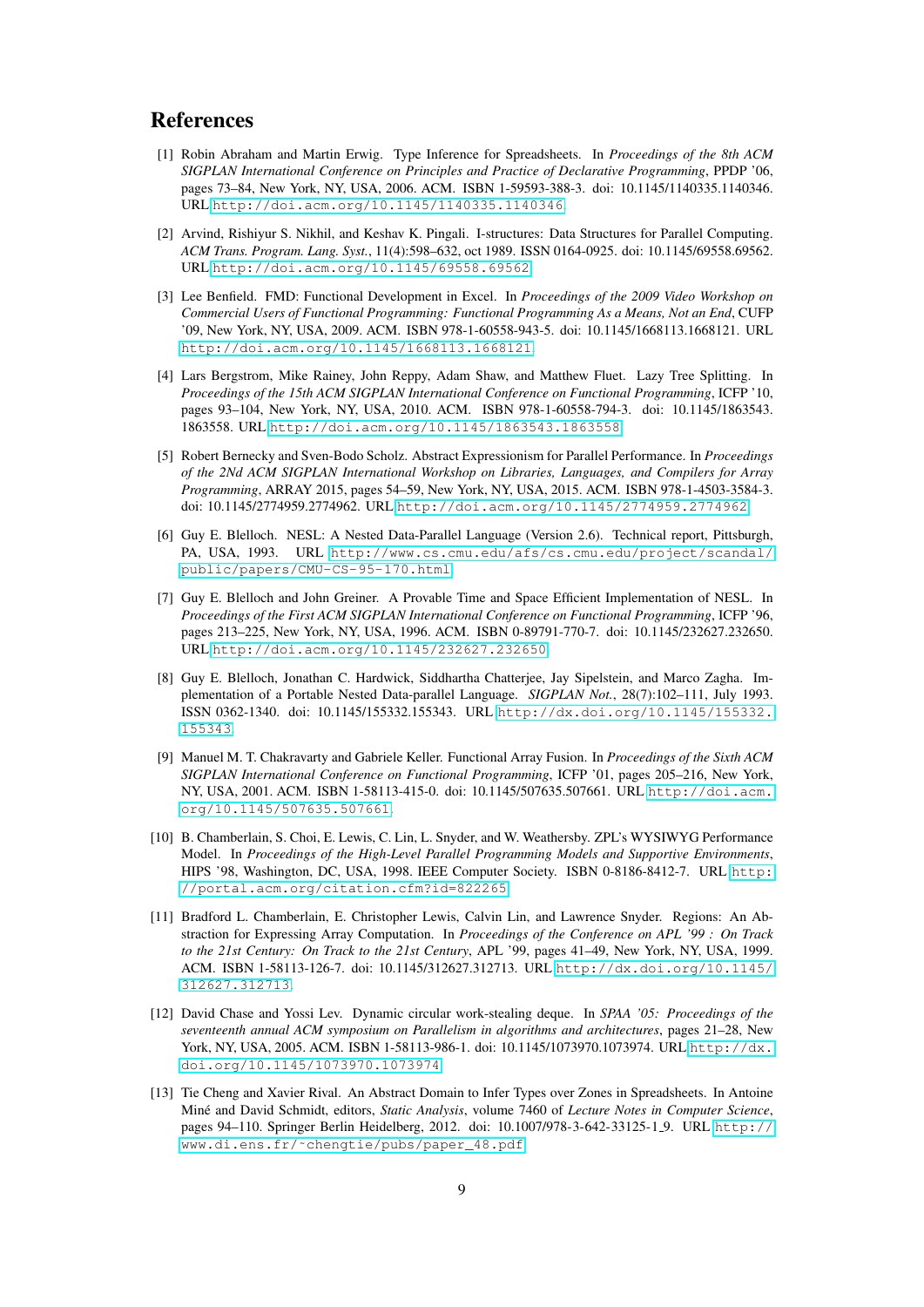# References

- <span id="page-10-11"></span>[1] Robin Abraham and Martin Erwig. Type Inference for Spreadsheets. In *Proceedings of the 8th ACM SIGPLAN International Conference on Principles and Practice of Declarative Programming*, PPDP '06, pages 73–84, New York, NY, USA, 2006. ACM. ISBN 1-59593-388-3. doi: 10.1145/1140335.1140346. URL <http://doi.acm.org/10.1145/1140335.1140346>.
- <span id="page-10-7"></span>[2] Arvind, Rishiyur S. Nikhil, and Keshav K. Pingali. I-structures: Data Structures for Parallel Computing. *ACM Trans. Program. Lang. Syst.*, 11(4):598–632, oct 1989. ISSN 0164-0925. doi: 10.1145/69558.69562. URL <http://doi.acm.org/10.1145/69558.69562>.
- <span id="page-10-10"></span>[3] Lee Benfield. FMD: Functional Development in Excel. In *Proceedings of the 2009 Video Workshop on Commercial Users of Functional Programming: Functional Programming As a Means, Not an End*, CUFP '09, New York, NY, USA, 2009. ACM. ISBN 978-1-60558-943-5. doi: 10.1145/1668113.1668121. URL <http://doi.acm.org/10.1145/1668113.1668121>.
- <span id="page-10-5"></span>[4] Lars Bergstrom, Mike Rainey, John Reppy, Adam Shaw, and Matthew Fluet. Lazy Tree Splitting. In *Proceedings of the 15th ACM SIGPLAN International Conference on Functional Programming*, ICFP '10, pages 93–104, New York, NY, USA, 2010. ACM. ISBN 978-1-60558-794-3. doi: 10.1145/1863543. 1863558. URL <http://doi.acm.org/10.1145/1863543.1863558>.
- <span id="page-10-0"></span>[5] Robert Bernecky and Sven-Bodo Scholz. Abstract Expressionism for Parallel Performance. In *Proceedings of the 2Nd ACM SIGPLAN International Workshop on Libraries, Languages, and Compilers for Array Programming*, ARRAY 2015, pages 54–59, New York, NY, USA, 2015. ACM. ISBN 978-1-4503-3584-3. doi: 10.1145/2774959.2774962. URL <http://doi.acm.org/10.1145/2774959.2774962>.
- <span id="page-10-1"></span>[6] Guy E. Blelloch. NESL: A Nested Data-Parallel Language (Version 2.6). Technical report, Pittsburgh, PA, USA, 1993. URL [http://www.cs.cmu.edu/afs/cs.cmu.edu/project/scandal/](http://www.cs.cmu.edu/afs/cs.cmu.edu/project/scandal/public/papers/CMU-CS-95-170.html) [public/papers/CMU-CS-95-170.html](http://www.cs.cmu.edu/afs/cs.cmu.edu/project/scandal/public/papers/CMU-CS-95-170.html).
- <span id="page-10-3"></span>[7] Guy E. Blelloch and John Greiner. A Provable Time and Space Efficient Implementation of NESL. In *Proceedings of the First ACM SIGPLAN International Conference on Functional Programming*, ICFP '96, pages 213–225, New York, NY, USA, 1996. ACM. ISBN 0-89791-770-7. doi: 10.1145/232627.232650. URL <http://doi.acm.org/10.1145/232627.232650>.
- <span id="page-10-2"></span>[8] Guy E. Blelloch, Jonathan C. Hardwick, Siddhartha Chatterjee, Jay Sipelstein, and Marco Zagha. Implementation of a Portable Nested Data-parallel Language. *SIGPLAN Not.*, 28(7):102–111, July 1993. ISSN 0362-1340. doi: 10.1145/155332.155343. URL [http://dx.doi.org/10.1145/155332.](http://dx.doi.org/10.1145/155332.155343) [155343](http://dx.doi.org/10.1145/155332.155343).
- <span id="page-10-6"></span>[9] Manuel M. T. Chakravarty and Gabriele Keller. Functional Array Fusion. In *Proceedings of the Sixth ACM SIGPLAN International Conference on Functional Programming*, ICFP '01, pages 205–216, New York, NY, USA, 2001. ACM. ISBN 1-58113-415-0. doi: 10.1145/507635.507661. URL [http://doi.acm.](http://doi.acm.org/10.1145/507635.507661) [org/10.1145/507635.507661](http://doi.acm.org/10.1145/507635.507661).
- <span id="page-10-9"></span>[10] B. Chamberlain, S. Choi, E. Lewis, C. Lin, L. Snyder, and W. Weathersby. ZPL's WYSIWYG Performance Model. In *Proceedings of the High-Level Parallel Programming Models and Supportive Environments*, HIPS '98, Washington, DC, USA, 1998. IEEE Computer Society. ISBN 0-8186-8412-7. URL [http:](http://portal.acm.org/citation.cfm?id=822265) [//portal.acm.org/citation.cfm?id=822265](http://portal.acm.org/citation.cfm?id=822265).
- <span id="page-10-8"></span>[11] Bradford L. Chamberlain, E. Christopher Lewis, Calvin Lin, and Lawrence Snyder. Regions: An Abstraction for Expressing Array Computation. In *Proceedings of the Conference on APL '99 : On Track to the 21st Century: On Track to the 21st Century*, APL '99, pages 41–49, New York, NY, USA, 1999. ACM. ISBN 1-58113-126-7. doi: 10.1145/312627.312713. URL [http://dx.doi.org/10.1145/](http://dx.doi.org/10.1145/312627.312713) [312627.312713](http://dx.doi.org/10.1145/312627.312713).
- <span id="page-10-4"></span>[12] David Chase and Yossi Lev. Dynamic circular work-stealing deque. In *SPAA '05: Proceedings of the seventeenth annual ACM symposium on Parallelism in algorithms and architectures*, pages 21–28, New York, NY, USA, 2005. ACM. ISBN 1-58113-986-1. doi: 10.1145/1073970.1073974. URL [http://dx.](http://dx.doi.org/10.1145/1073970.1073974) [doi.org/10.1145/1073970.1073974](http://dx.doi.org/10.1145/1073970.1073974).
- <span id="page-10-12"></span>[13] Tie Cheng and Xavier Rival. An Abstract Domain to Infer Types over Zones in Spreadsheets. In Antoine Miné and David Schmidt, editors, *Static Analysis*, volume 7460 of *Lecture Notes in Computer Science*, pages 94–110. Springer Berlin Heidelberg, 2012. doi: 10.1007/978-3-642-33125-1 9. URL [http://](http://www.di.ens.fr/~chengtie/pubs/paper_48.pdf) [www.di.ens.fr/˜chengtie/pubs/paper\\_48.pdf](http://www.di.ens.fr/~chengtie/pubs/paper_48.pdf).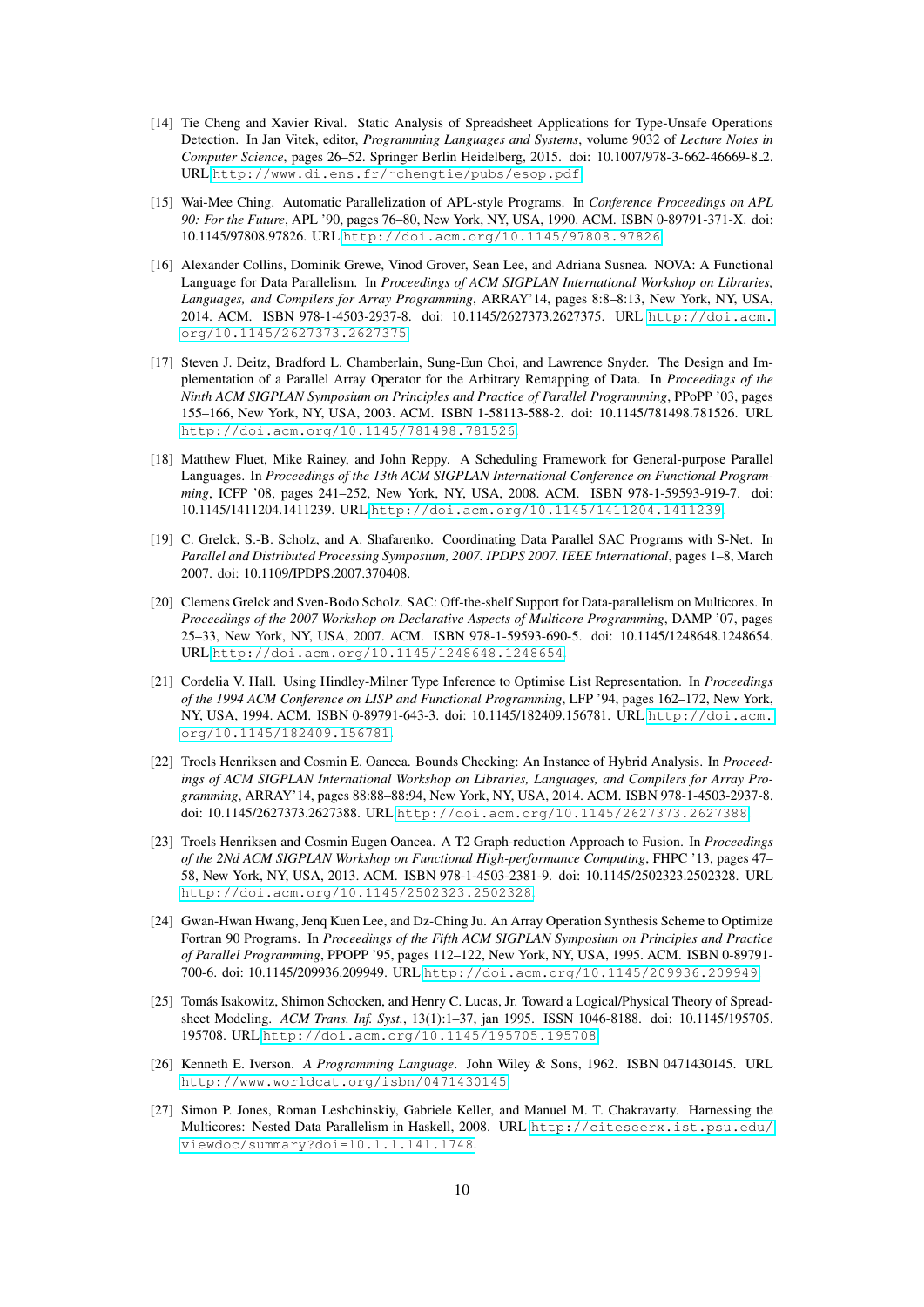- <span id="page-11-13"></span>[14] Tie Cheng and Xavier Rival. Static Analysis of Spreadsheet Applications for Type-Unsafe Operations Detection. In Jan Vitek, editor, *Programming Languages and Systems*, volume 9032 of *Lecture Notes in Computer Science*, pages 26–52. Springer Berlin Heidelberg, 2015. doi: 10.1007/978-3-662-46669-8 2. URL [http://www.di.ens.fr/˜chengtie/pubs/esop.pdf](http://www.di.ens.fr/~chengtie/pubs/esop.pdf).
- <span id="page-11-1"></span>[15] Wai-Mee Ching. Automatic Parallelization of APL-style Programs. In *Conference Proceedings on APL 90: For the Future*, APL '90, pages 76–80, New York, NY, USA, 1990. ACM. ISBN 0-89791-371-X. doi: 10.1145/97808.97826. URL <http://doi.acm.org/10.1145/97808.97826>.
- <span id="page-11-3"></span>[16] Alexander Collins, Dominik Grewe, Vinod Grover, Sean Lee, and Adriana Susnea. NOVA: A Functional Language for Data Parallelism. In *Proceedings of ACM SIGPLAN International Workshop on Libraries, Languages, and Compilers for Array Programming*, ARRAY'14, pages 8:8–8:13, New York, NY, USA, 2014. ACM. ISBN 978-1-4503-2937-8. doi: 10.1145/2627373.2627375. URL [http://doi.acm.](http://doi.acm.org/10.1145/2627373.2627375) [org/10.1145/2627373.2627375](http://doi.acm.org/10.1145/2627373.2627375).
- <span id="page-11-11"></span>[17] Steven J. Deitz, Bradford L. Chamberlain, Sung-Eun Choi, and Lawrence Snyder. The Design and Implementation of a Parallel Array Operator for the Arbitrary Remapping of Data. In *Proceedings of the Ninth ACM SIGPLAN Symposium on Principles and Practice of Parallel Programming*, PPoPP '03, pages 155–166, New York, NY, USA, 2003. ACM. ISBN 1-58113-588-2. doi: 10.1145/781498.781526. URL <http://doi.acm.org/10.1145/781498.781526>.
- <span id="page-11-5"></span>[18] Matthew Fluet, Mike Rainey, and John Reppy. A Scheduling Framework for General-purpose Parallel Languages. In *Proceedings of the 13th ACM SIGPLAN International Conference on Functional Programming*, ICFP '08, pages 241–252, New York, NY, USA, 2008. ACM. ISBN 978-1-59593-919-7. doi: 10.1145/1411204.1411239. URL <http://doi.acm.org/10.1145/1411204.1411239>.
- <span id="page-11-10"></span>[19] C. Grelck, S.-B. Scholz, and A. Shafarenko. Coordinating Data Parallel SAC Programs with S-Net. In *Parallel and Distributed Processing Symposium, 2007. IPDPS 2007. IEEE International*, pages 1–8, March 2007. doi: 10.1109/IPDPS.2007.370408.
- <span id="page-11-4"></span>[20] Clemens Grelck and Sven-Bodo Scholz. SAC: Off-the-shelf Support for Data-parallelism on Multicores. In *Proceedings of the 2007 Workshop on Declarative Aspects of Multicore Programming*, DAMP '07, pages 25–33, New York, NY, USA, 2007. ACM. ISBN 978-1-59593-690-5. doi: 10.1145/1248648.1248654. URL <http://doi.acm.org/10.1145/1248648.1248654>.
- <span id="page-11-8"></span>[21] Cordelia V. Hall. Using Hindley-Milner Type Inference to Optimise List Representation. In *Proceedings of the 1994 ACM Conference on LISP and Functional Programming*, LFP '94, pages 162–172, New York, NY, USA, 1994. ACM. ISBN 0-89791-643-3. doi: 10.1145/182409.156781. URL [http://doi.acm.](http://doi.acm.org/10.1145/182409.156781) [org/10.1145/182409.156781](http://doi.acm.org/10.1145/182409.156781).
- <span id="page-11-9"></span>[22] Troels Henriksen and Cosmin E. Oancea. Bounds Checking: An Instance of Hybrid Analysis. In *Proceedings of ACM SIGPLAN International Workshop on Libraries, Languages, and Compilers for Array Programming*, ARRAY'14, pages 88:88–88:94, New York, NY, USA, 2014. ACM. ISBN 978-1-4503-2937-8. doi: 10.1145/2627373.2627388. URL <http://doi.acm.org/10.1145/2627373.2627388>.
- <span id="page-11-7"></span>[23] Troels Henriksen and Cosmin Eugen Oancea. A T2 Graph-reduction Approach to Fusion. In *Proceedings of the 2Nd ACM SIGPLAN Workshop on Functional High-performance Computing*, FHPC '13, pages 47– 58, New York, NY, USA, 2013. ACM. ISBN 978-1-4503-2381-9. doi: 10.1145/2502323.2502328. URL <http://doi.acm.org/10.1145/2502323.2502328>.
- <span id="page-11-6"></span>[24] Gwan-Hwan Hwang, Jenq Kuen Lee, and Dz-Ching Ju. An Array Operation Synthesis Scheme to Optimize Fortran 90 Programs. In *Proceedings of the Fifth ACM SIGPLAN Symposium on Principles and Practice of Parallel Programming*, PPOPP '95, pages 112–122, New York, NY, USA, 1995. ACM. ISBN 0-89791- 700-6. doi: 10.1145/209936.209949. URL <http://doi.acm.org/10.1145/209936.209949>.
- <span id="page-11-12"></span>[25] Tomás Isakowitz, Shimon Schocken, and Henry C. Lucas, Jr. Toward a Logical/Physical Theory of Spreadsheet Modeling. *ACM Trans. Inf. Syst.*, 13(1):1–37, jan 1995. ISSN 1046-8188. doi: 10.1145/195705. 195708. URL <http://doi.acm.org/10.1145/195705.195708>.
- <span id="page-11-0"></span>[26] Kenneth E. Iverson. *A Programming Language*. John Wiley & Sons, 1962. ISBN 0471430145. URL <http://www.worldcat.org/isbn/0471430145>.
- <span id="page-11-2"></span>[27] Simon P. Jones, Roman Leshchinskiy, Gabriele Keller, and Manuel M. T. Chakravarty. Harnessing the Multicores: Nested Data Parallelism in Haskell, 2008. URL [http://citeseerx.ist.psu.edu/](http://citeseerx.ist.psu.edu/viewdoc/summary?doi=10.1.1.141.1748) [viewdoc/summary?doi=10.1.1.141.1748](http://citeseerx.ist.psu.edu/viewdoc/summary?doi=10.1.1.141.1748).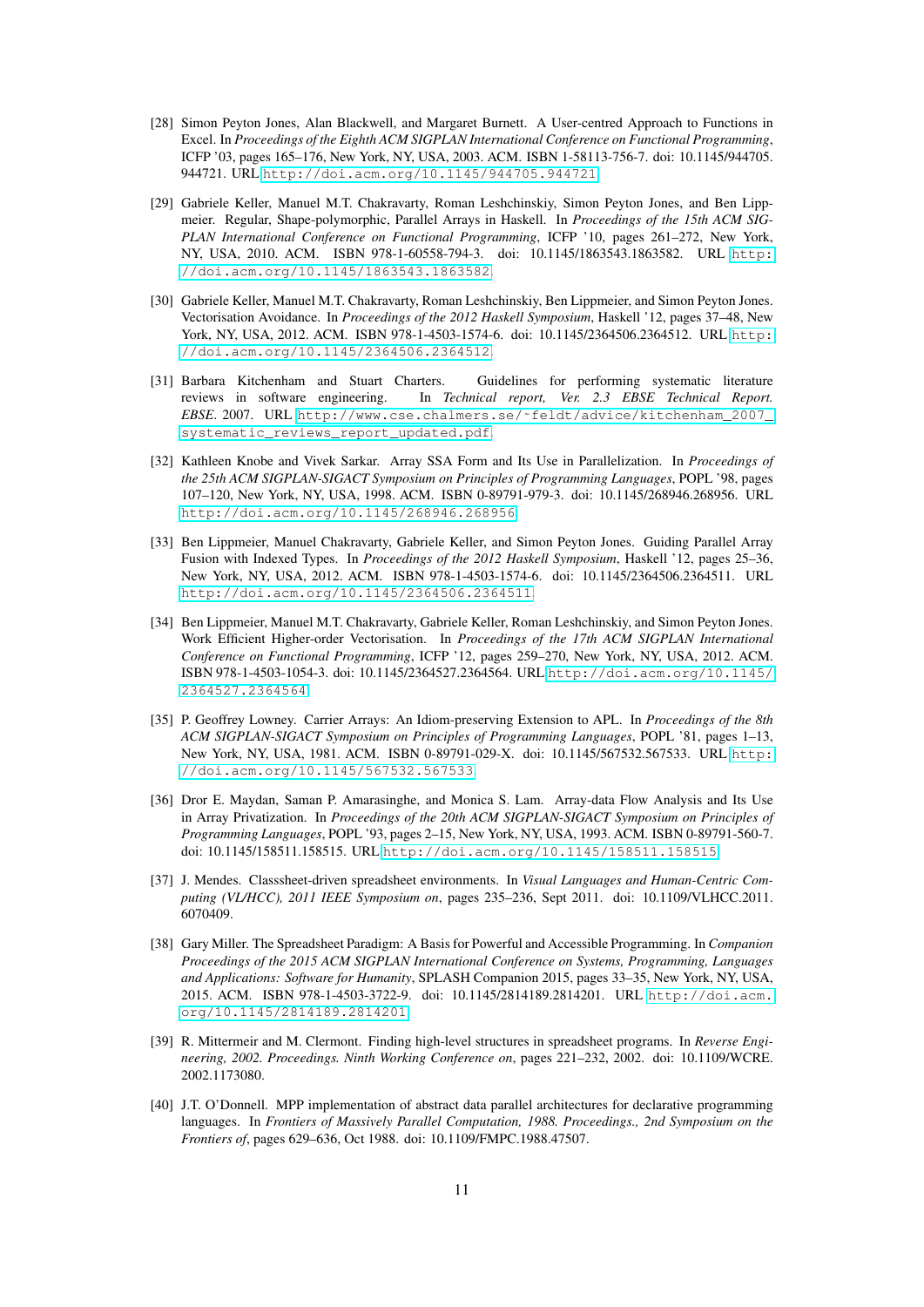- <span id="page-12-11"></span>[28] Simon Peyton Jones, Alan Blackwell, and Margaret Burnett. A User-centred Approach to Functions in Excel. In *Proceedings of the Eighth ACM SIGPLAN International Conference on Functional Programming*, ICFP '03, pages 165–176, New York, NY, USA, 2003. ACM. ISBN 1-58113-756-7. doi: 10.1145/944705. 944721. URL <http://doi.acm.org/10.1145/944705.944721>.
- <span id="page-12-6"></span>[29] Gabriele Keller, Manuel M.T. Chakravarty, Roman Leshchinskiy, Simon Peyton Jones, and Ben Lippmeier. Regular, Shape-polymorphic, Parallel Arrays in Haskell. In *Proceedings of the 15th ACM SIG-PLAN International Conference on Functional Programming*, ICFP '10, pages 261–272, New York, NY, USA, 2010. ACM. ISBN 978-1-60558-794-3. doi: 10.1145/1863543.1863582. URL [http:](http://doi.acm.org/10.1145/1863543.1863582) [//doi.acm.org/10.1145/1863543.1863582](http://doi.acm.org/10.1145/1863543.1863582).
- <span id="page-12-2"></span>[30] Gabriele Keller, Manuel M.T. Chakravarty, Roman Leshchinskiy, Ben Lippmeier, and Simon Peyton Jones. Vectorisation Avoidance. In *Proceedings of the 2012 Haskell Symposium*, Haskell '12, pages 37–48, New York, NY, USA, 2012. ACM. ISBN 978-1-4503-1574-6. doi: 10.1145/2364506.2364512. URL [http:](http://doi.acm.org/10.1145/2364506.2364512) [//doi.acm.org/10.1145/2364506.2364512](http://doi.acm.org/10.1145/2364506.2364512).
- <span id="page-12-0"></span>[31] Barbara Kitchenham and Stuart Charters. Guidelines for performing systematic literature reviews in software engineering. In *Technical report, Ver. 2.3 EBSE Technical Report. EBSE*. 2007. URL [http://www.cse.chalmers.se/˜feldt/advice/kitchenham\\_2007\\_](http://www.cse.chalmers.se/~feldt/advice/kitchenham_2007_systematic_reviews_report_updated.pdf) [systematic\\_reviews\\_report\\_updated.pdf](http://www.cse.chalmers.se/~feldt/advice/kitchenham_2007_systematic_reviews_report_updated.pdf).
- <span id="page-12-8"></span>[32] Kathleen Knobe and Vivek Sarkar. Array SSA Form and Its Use in Parallelization. In *Proceedings of the 25th ACM SIGPLAN-SIGACT Symposium on Principles of Programming Languages*, POPL '98, pages 107–120, New York, NY, USA, 1998. ACM. ISBN 0-89791-979-3. doi: 10.1145/268946.268956. URL <http://doi.acm.org/10.1145/268946.268956>.
- <span id="page-12-3"></span>[33] Ben Lippmeier, Manuel Chakravarty, Gabriele Keller, and Simon Peyton Jones. Guiding Parallel Array Fusion with Indexed Types. In *Proceedings of the 2012 Haskell Symposium*, Haskell '12, pages 25–36, New York, NY, USA, 2012. ACM. ISBN 978-1-4503-1574-6. doi: 10.1145/2364506.2364511. URL <http://doi.acm.org/10.1145/2364506.2364511>.
- <span id="page-12-1"></span>[34] Ben Lippmeier, Manuel M.T. Chakravarty, Gabriele Keller, Roman Leshchinskiy, and Simon Peyton Jones. Work Efficient Higher-order Vectorisation. In *Proceedings of the 17th ACM SIGPLAN International Conference on Functional Programming*, ICFP '12, pages 259–270, New York, NY, USA, 2012. ACM. ISBN 978-1-4503-1054-3. doi: 10.1145/2364527.2364564. URL [http://doi.acm.org/10.1145/](http://doi.acm.org/10.1145/2364527.2364564) [2364527.2364564](http://doi.acm.org/10.1145/2364527.2364564).
- <span id="page-12-4"></span>[35] P. Geoffrey Lowney. Carrier Arrays: An Idiom-preserving Extension to APL. In *Proceedings of the 8th ACM SIGPLAN-SIGACT Symposium on Principles of Programming Languages*, POPL '81, pages 1–13, New York, NY, USA, 1981. ACM. ISBN 0-89791-029-X. doi: 10.1145/567532.567533. URL [http:](http://doi.acm.org/10.1145/567532.567533) [//doi.acm.org/10.1145/567532.567533](http://doi.acm.org/10.1145/567532.567533).
- <span id="page-12-7"></span>[36] Dror E. Maydan, Saman P. Amarasinghe, and Monica S. Lam. Array-data Flow Analysis and Its Use in Array Privatization. In *Proceedings of the 20th ACM SIGPLAN-SIGACT Symposium on Principles of Programming Languages*, POPL '93, pages 2–15, New York, NY, USA, 1993. ACM. ISBN 0-89791-560-7. doi: 10.1145/158511.158515. URL <http://doi.acm.org/10.1145/158511.158515>.
- <span id="page-12-12"></span>[37] J. Mendes. Classsheet-driven spreadsheet environments. In *Visual Languages and Human-Centric Computing (VL/HCC), 2011 IEEE Symposium on*, pages 235–236, Sept 2011. doi: 10.1109/VLHCC.2011. 6070409.
- <span id="page-12-10"></span>[38] Gary Miller. The Spreadsheet Paradigm: A Basis for Powerful and Accessible Programming. In *Companion Proceedings of the 2015 ACM SIGPLAN International Conference on Systems, Programming, Languages and Applications: Software for Humanity*, SPLASH Companion 2015, pages 33–35, New York, NY, USA, 2015. ACM. ISBN 978-1-4503-3722-9. doi: 10.1145/2814189.2814201. URL [http://doi.acm.](http://doi.acm.org/10.1145/2814189.2814201) [org/10.1145/2814189.2814201](http://doi.acm.org/10.1145/2814189.2814201).
- <span id="page-12-9"></span>[39] R. Mittermeir and M. Clermont. Finding high-level structures in spreadsheet programs. In *Reverse Engineering, 2002. Proceedings. Ninth Working Conference on*, pages 221–232, 2002. doi: 10.1109/WCRE. 2002.1173080.
- <span id="page-12-5"></span>[40] J.T. O'Donnell. MPP implementation of abstract data parallel architectures for declarative programming languages. In *Frontiers of Massively Parallel Computation, 1988. Proceedings., 2nd Symposium on the Frontiers of*, pages 629–636, Oct 1988. doi: 10.1109/FMPC.1988.47507.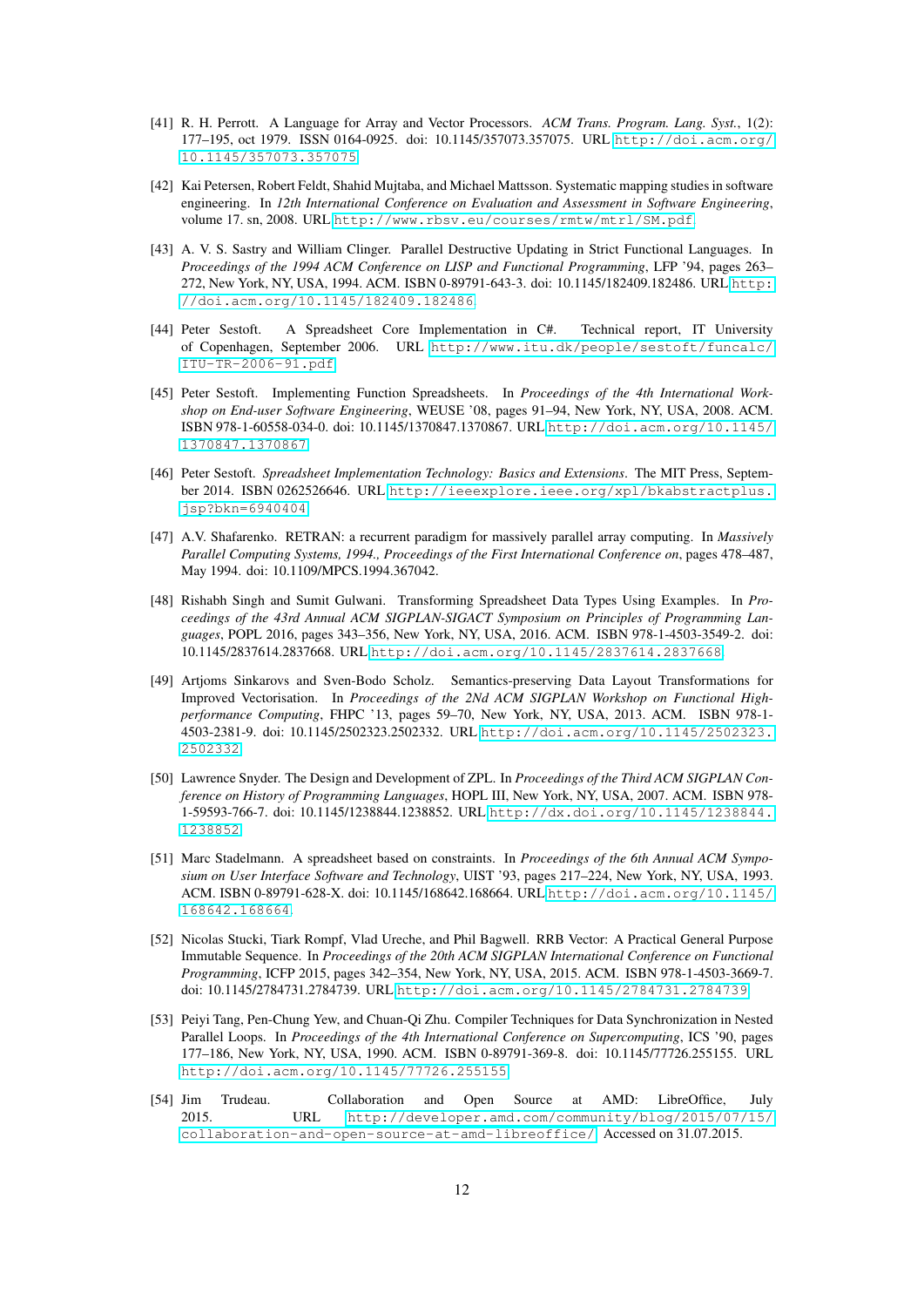- <span id="page-13-4"></span>[41] R. H. Perrott. A Language for Array and Vector Processors. *ACM Trans. Program. Lang. Syst.*, 1(2): 177–195, oct 1979. ISSN 0164-0925. doi: 10.1145/357073.357075. URL [http://doi.acm.org/](http://doi.acm.org/10.1145/357073.357075) [10.1145/357073.357075](http://doi.acm.org/10.1145/357073.357075).
- <span id="page-13-2"></span>[42] Kai Petersen, Robert Feldt, Shahid Mujtaba, and Michael Mattsson. Systematic mapping studies in software engineering. In *12th International Conference on Evaluation and Assessment in Software Engineering*, volume 17. sn, 2008. URL <http://www.rbsv.eu/courses/rmtw/mtrl/SM.pdf>.
- <span id="page-13-5"></span>[43] A. V. S. Sastry and William Clinger. Parallel Destructive Updating in Strict Functional Languages. In *Proceedings of the 1994 ACM Conference on LISP and Functional Programming*, LFP '94, pages 263– 272, New York, NY, USA, 1994. ACM. ISBN 0-89791-643-3. doi: 10.1145/182409.182486. URL [http:](http://doi.acm.org/10.1145/182409.182486) [//doi.acm.org/10.1145/182409.182486](http://doi.acm.org/10.1145/182409.182486).
- <span id="page-13-3"></span>[44] Peter Sestoft. A Spreadsheet Core Implementation in C#. Technical report, IT University of Copenhagen, September 2006. URL [http://www.itu.dk/people/sestoft/funcalc/](http://www.itu.dk/people/sestoft/funcalc/ITU-TR-2006-91.pdf) [ITU-TR-2006-91.pdf](http://www.itu.dk/people/sestoft/funcalc/ITU-TR-2006-91.pdf).
- <span id="page-13-12"></span>[45] Peter Sestoft. Implementing Function Spreadsheets. In *Proceedings of the 4th International Workshop on End-user Software Engineering*, WEUSE '08, pages 91–94, New York, NY, USA, 2008. ACM. ISBN 978-1-60558-034-0. doi: 10.1145/1370847.1370867. URL [http://doi.acm.org/10.1145/](http://doi.acm.org/10.1145/1370847.1370867) [1370847.1370867](http://doi.acm.org/10.1145/1370847.1370867).
- <span id="page-13-0"></span>[46] Peter Sestoft. *Spreadsheet Implementation Technology: Basics and Extensions*. The MIT Press, September 2014. ISBN 0262526646. URL [http://ieeexplore.ieee.org/xpl/bkabstractplus.](http://ieeexplore.ieee.org/xpl/bkabstractplus.jsp?bkn=6940404) [jsp?bkn=6940404](http://ieeexplore.ieee.org/xpl/bkabstractplus.jsp?bkn=6940404).
- <span id="page-13-8"></span>[47] A.V. Shafarenko. RETRAN: a recurrent paradigm for massively parallel array computing. In *Massively Parallel Computing Systems, 1994., Proceedings of the First International Conference on*, pages 478–487, May 1994. doi: 10.1109/MPCS.1994.367042.
- <span id="page-13-10"></span>[48] Rishabh Singh and Sumit Gulwani. Transforming Spreadsheet Data Types Using Examples. In *Proceedings of the 43rd Annual ACM SIGPLAN-SIGACT Symposium on Principles of Programming Languages*, POPL 2016, pages 343–356, New York, NY, USA, 2016. ACM. ISBN 978-1-4503-3549-2. doi: 10.1145/2837614.2837668. URL <http://doi.acm.org/10.1145/2837614.2837668>.
- <span id="page-13-9"></span>[49] Artjoms Sinkarovs and Sven-Bodo Scholz. Semantics-preserving Data Layout Transformations for Improved Vectorisation. In *Proceedings of the 2Nd ACM SIGPLAN Workshop on Functional Highperformance Computing*, FHPC '13, pages 59–70, New York, NY, USA, 2013. ACM. ISBN 978-1- 4503-2381-9. doi: 10.1145/2502323.2502332. URL [http://doi.acm.org/10.1145/2502323.](http://doi.acm.org/10.1145/2502323.2502332) [2502332](http://doi.acm.org/10.1145/2502323.2502332).
- <span id="page-13-13"></span>[50] Lawrence Snyder. The Design and Development of ZPL. In *Proceedings of the Third ACM SIGPLAN Conference on History of Programming Languages*, HOPL III, New York, NY, USA, 2007. ACM. ISBN 978- 1-59593-766-7. doi: 10.1145/1238844.1238852. URL [http://dx.doi.org/10.1145/1238844.](http://dx.doi.org/10.1145/1238844.1238852) [1238852](http://dx.doi.org/10.1145/1238844.1238852).
- <span id="page-13-11"></span>[51] Marc Stadelmann. A spreadsheet based on constraints. In *Proceedings of the 6th Annual ACM Symposium on User Interface Software and Technology*, UIST '93, pages 217–224, New York, NY, USA, 1993. ACM. ISBN 0-89791-628-X. doi: 10.1145/168642.168664. URL [http://doi.acm.org/10.1145/](http://doi.acm.org/10.1145/168642.168664) [168642.168664](http://doi.acm.org/10.1145/168642.168664).
- <span id="page-13-6"></span>[52] Nicolas Stucki, Tiark Rompf, Vlad Ureche, and Phil Bagwell. RRB Vector: A Practical General Purpose Immutable Sequence. In *Proceedings of the 20th ACM SIGPLAN International Conference on Functional Programming*, ICFP 2015, pages 342–354, New York, NY, USA, 2015. ACM. ISBN 978-1-4503-3669-7. doi: 10.1145/2784731.2784739. URL <http://doi.acm.org/10.1145/2784731.2784739>.
- <span id="page-13-7"></span>[53] Peiyi Tang, Pen-Chung Yew, and Chuan-Qi Zhu. Compiler Techniques for Data Synchronization in Nested Parallel Loops. In *Proceedings of the 4th International Conference on Supercomputing*, ICS '90, pages 177–186, New York, NY, USA, 1990. ACM. ISBN 0-89791-369-8. doi: 10.1145/77726.255155. URL <http://doi.acm.org/10.1145/77726.255155>.
- <span id="page-13-1"></span>[54] Jim Trudeau. Collaboration and Open Source at AMD: LibreOffice, July 2015. URL [http://developer.amd.com/community/blog/2015/07/15/](http://developer.amd.com/community/blog/2015/07/15/collaboration-and-open-source-at-amd-libreoffice/) [collaboration-and-open-source-at-amd-libreoffice/](http://developer.amd.com/community/blog/2015/07/15/collaboration-and-open-source-at-amd-libreoffice/). Accessed on 31.07.2015.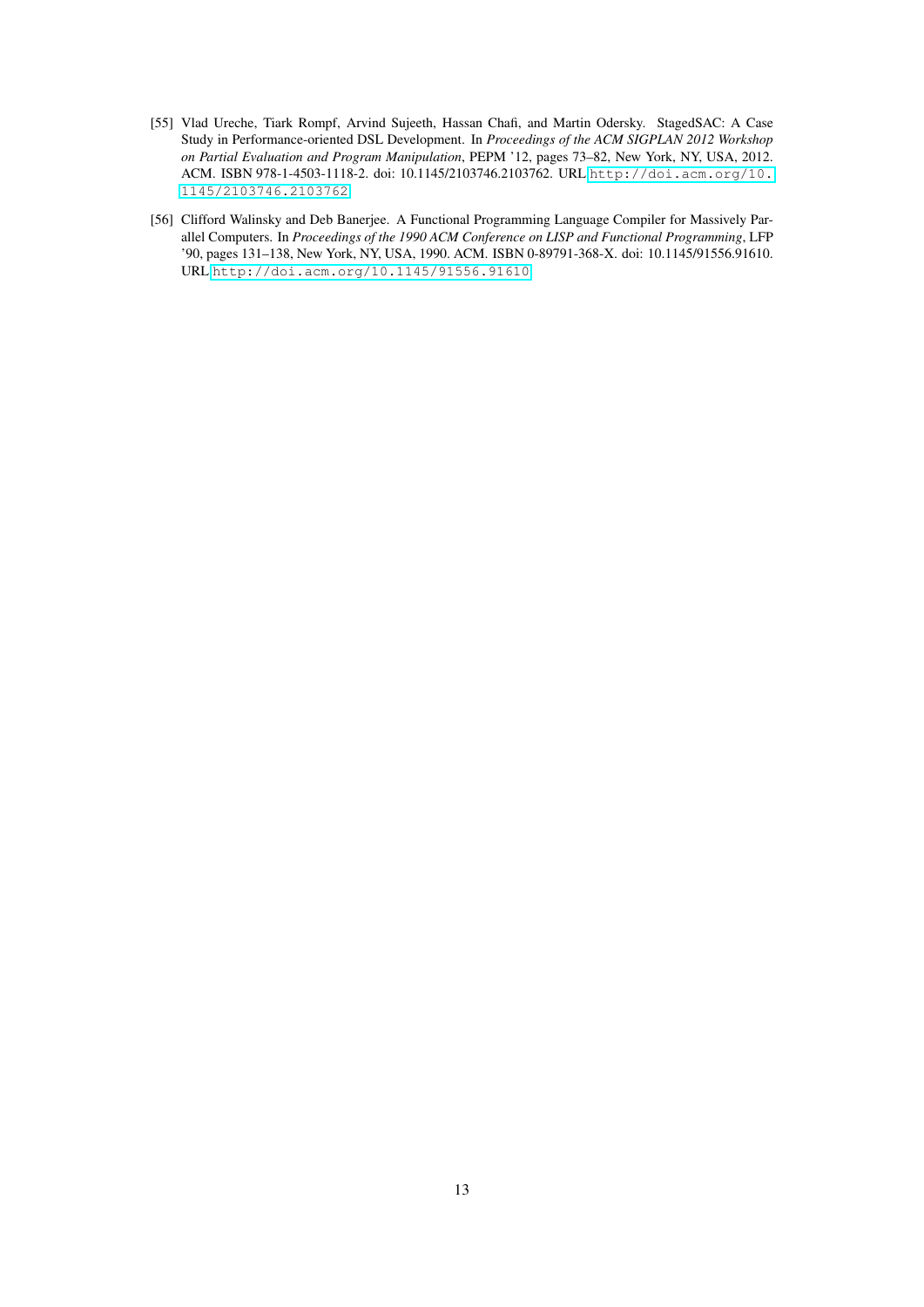- <span id="page-14-0"></span>[55] Vlad Ureche, Tiark Rompf, Arvind Sujeeth, Hassan Chafi, and Martin Odersky. StagedSAC: A Case Study in Performance-oriented DSL Development. In *Proceedings of the ACM SIGPLAN 2012 Workshop on Partial Evaluation and Program Manipulation*, PEPM '12, pages 73–82, New York, NY, USA, 2012. ACM. ISBN 978-1-4503-1118-2. doi: 10.1145/2103746.2103762. URL [http://doi.acm.org/10.](http://doi.acm.org/10.1145/2103746.2103762) [1145/2103746.2103762](http://doi.acm.org/10.1145/2103746.2103762).
- <span id="page-14-1"></span>[56] Clifford Walinsky and Deb Banerjee. A Functional Programming Language Compiler for Massively Parallel Computers. In *Proceedings of the 1990 ACM Conference on LISP and Functional Programming*, LFP '90, pages 131–138, New York, NY, USA, 1990. ACM. ISBN 0-89791-368-X. doi: 10.1145/91556.91610. URL <http://doi.acm.org/10.1145/91556.91610>.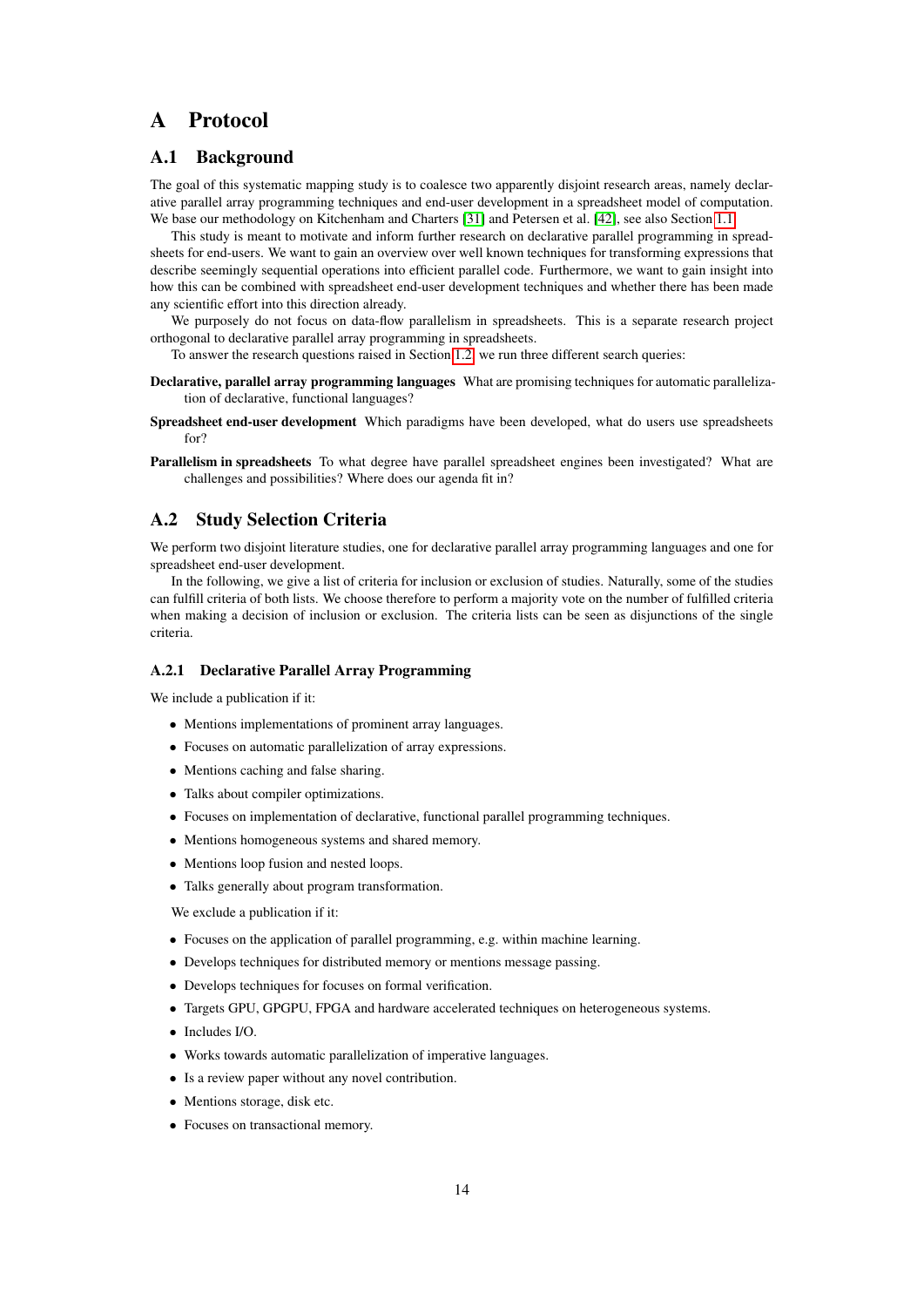# <span id="page-15-0"></span>A Protocol

# A.1 Background

The goal of this systematic mapping study is to coalesce two apparently disjoint research areas, namely declarative parallel array programming techniques and end-user development in a spreadsheet model of computation. We base our methodology on Kitchenham and Charters [\[31\]](#page-12-0) and Petersen et al. [\[42\]](#page-13-2), see also Section [1.1.](#page-2-1)

This study is meant to motivate and inform further research on declarative parallel programming in spreadsheets for end-users. We want to gain an overview over well known techniques for transforming expressions that describe seemingly sequential operations into efficient parallel code. Furthermore, we want to gain insight into how this can be combined with spreadsheet end-user development techniques and whether there has been made any scientific effort into this direction already.

We purposely do not focus on data-flow parallelism in spreadsheets. This is a separate research project orthogonal to declarative parallel array programming in spreadsheets.

To answer the research questions raised in Section [1.2,](#page-3-0) we run three different search queries:

- Declarative, parallel array programming languages What are promising techniques for automatic parallelization of declarative, functional languages?
- Spreadsheet end-user development Which paradigms have been developed, what do users use spreadsheets for?
- Parallelism in spreadsheets To what degree have parallel spreadsheet engines been investigated? What are challenges and possibilities? Where does our agenda fit in?

### <span id="page-15-1"></span>A.2 Study Selection Criteria

We perform two disjoint literature studies, one for declarative parallel array programming languages and one for spreadsheet end-user development.

In the following, we give a list of criteria for inclusion or exclusion of studies. Naturally, some of the studies can fulfill criteria of both lists. We choose therefore to perform a majority vote on the number of fulfilled criteria when making a decision of inclusion or exclusion. The criteria lists can be seen as disjunctions of the single criteria.

#### A.2.1 Declarative Parallel Array Programming

We include a publication if it:

- Mentions implementations of prominent array languages.
- Focuses on automatic parallelization of array expressions.
- Mentions caching and false sharing.
- Talks about compiler optimizations.
- Focuses on implementation of declarative, functional parallel programming techniques.
- Mentions homogeneous systems and shared memory.
- Mentions loop fusion and nested loops.
- Talks generally about program transformation.

We exclude a publication if it:

- Focuses on the application of parallel programming, e.g. within machine learning.
- Develops techniques for distributed memory or mentions message passing.
- Develops techniques for focuses on formal verification.
- Targets GPU, GPGPU, FPGA and hardware accelerated techniques on heterogeneous systems.
- Includes I/O.
- Works towards automatic parallelization of imperative languages.
- Is a review paper without any novel contribution.
- Mentions storage, disk etc.
- Focuses on transactional memory.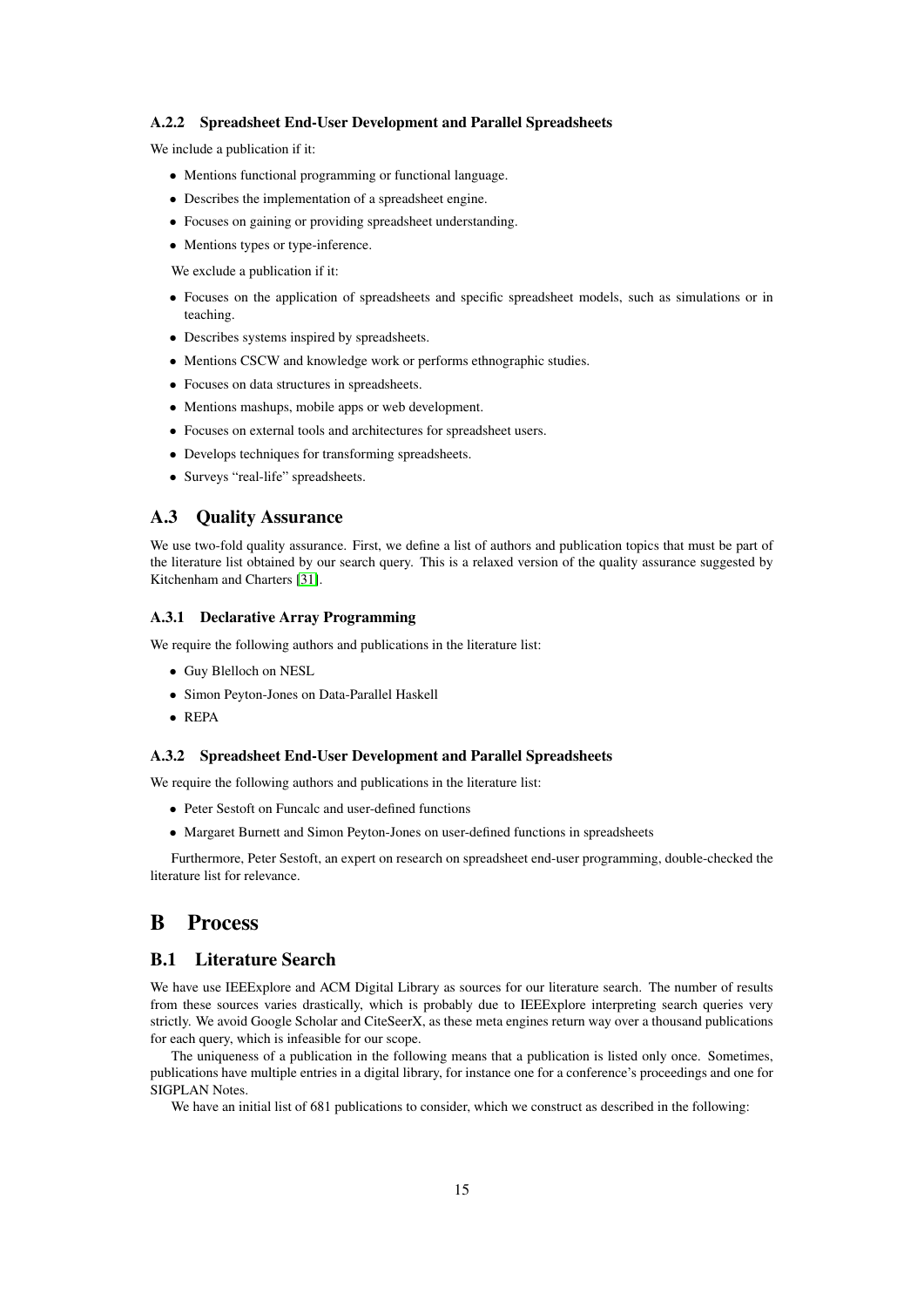#### A.2.2 Spreadsheet End-User Development and Parallel Spreadsheets

We include a publication if it:

- Mentions functional programming or functional language.
- Describes the implementation of a spreadsheet engine.
- Focuses on gaining or providing spreadsheet understanding.
- Mentions types or type-inference.

We exclude a publication if it:

- Focuses on the application of spreadsheets and specific spreadsheet models, such as simulations or in teaching.
- Describes systems inspired by spreadsheets.
- Mentions CSCW and knowledge work or performs ethnographic studies.
- Focuses on data structures in spreadsheets.
- Mentions mashups, mobile apps or web development.
- Focuses on external tools and architectures for spreadsheet users.
- Develops techniques for transforming spreadsheets.
- Surveys "real-life" spreadsheets.

### A.3 Quality Assurance

We use two-fold quality assurance. First, we define a list of authors and publication topics that must be part of the literature list obtained by our search query. This is a relaxed version of the quality assurance suggested by Kitchenham and Charters [\[31\]](#page-12-0).

#### A.3.1 Declarative Array Programming

We require the following authors and publications in the literature list:

- Guy Blelloch on NESL
- Simon Peyton-Jones on Data-Parallel Haskell
- REPA

#### A.3.2 Spreadsheet End-User Development and Parallel Spreadsheets

We require the following authors and publications in the literature list:

- Peter Sestoft on Funcalc and user-defined functions
- Margaret Burnett and Simon Peyton-Jones on user-defined functions in spreadsheets

Furthermore, Peter Sestoft, an expert on research on spreadsheet end-user programming, double-checked the literature list for relevance.

# <span id="page-16-0"></span>B Process

# B.1 Literature Search

We have use IEEExplore and ACM Digital Library as sources for our literature search. The number of results from these sources varies drastically, which is probably due to IEEExplore interpreting search queries very strictly. We avoid Google Scholar and CiteSeerX, as these meta engines return way over a thousand publications for each query, which is infeasible for our scope.

The uniqueness of a publication in the following means that a publication is listed only once. Sometimes, publications have multiple entries in a digital library, for instance one for a conference's proceedings and one for SIGPLAN Notes.

We have an initial list of 681 publications to consider, which we construct as described in the following: